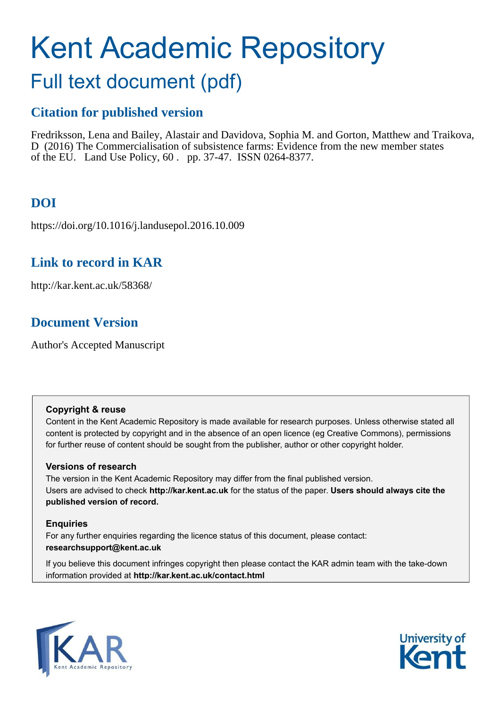# Kent Academic Repository

# Full text document (pdf)

# **Citation for published version**

Fredriksson, Lena and Bailey, Alastair and Davidova, Sophia M. and Gorton, Matthew and Traikova, D (2016) The Commercialisation of subsistence farms: Evidence from the new member states of the EU. Land Use Policy, 60 . pp. 37-47. ISSN 0264-8377.

# **DOI**

https://doi.org/10.1016/j.landusepol.2016.10.009

# **Link to record in KAR**

http://kar.kent.ac.uk/58368/

# **Document Version**

Author's Accepted Manuscript

## **Copyright & reuse**

Content in the Kent Academic Repository is made available for research purposes. Unless otherwise stated all content is protected by copyright and in the absence of an open licence (eg Creative Commons), permissions for further reuse of content should be sought from the publisher, author or other copyright holder.

## **Versions of research**

The version in the Kent Academic Repository may differ from the final published version. Users are advised to check **http://kar.kent.ac.uk** for the status of the paper. **Users should always cite the published version of record.**

## **Enquiries**

For any further enquiries regarding the licence status of this document, please contact: **researchsupport@kent.ac.uk**

If you believe this document infringes copyright then please contact the KAR admin team with the take-down information provided at **http://kar.kent.ac.uk/contact.html**



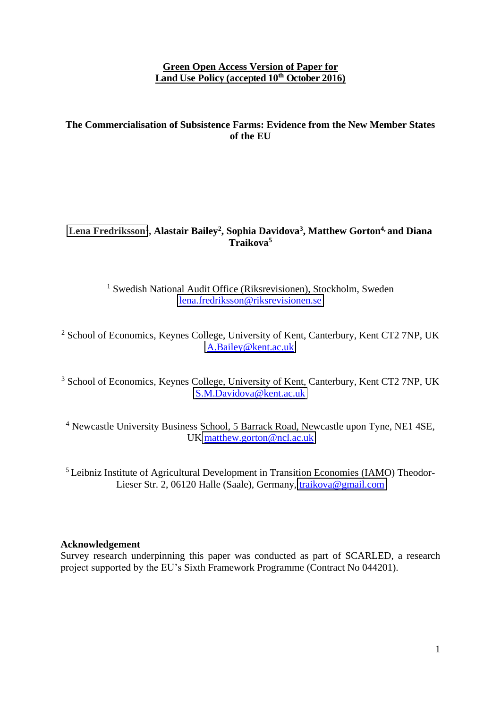### **Green Open Access Version of Paper for Land Use Policy (accepted 10th October 2016)**

## **The Commercialisation of Subsistence Farms: Evidence from the New Member States of the EU**

# **[Lena Fredriksson](http://kent.academia.edu/LenaFredriksson)<sup>1</sup> , Alastair Bailey<sup>2</sup> , Sophia Davidova<sup>3</sup> , Matthew Gorton4, and Diana Traikova<sup>5</sup>**

<sup>1</sup> Swedish National Audit Office (Riksrevisionen), Stockholm, Sweden [lena.fredriksson@riksrevisionen.se](mailto:lena.fredriksson@riksrevisionen.se) 

<sup>2</sup> School of Economics, Keynes College, University of Kent, Canterbury, Kent CT2 7NP, UK [A.Bailey@kent.ac.uk](mailto:A.Bailey@kent.ac.uk) 

<sup>3</sup> School of Economics, Keynes College, University of Kent, Canterbury, Kent CT2 7NP, UK [S.M.Davidova@kent.ac.uk](mailto:S.M.Davidova@kent.ac.uk) 

<sup>4</sup> Newcastle University Business School, 5 Barrack Road, Newcastle upon Tyne, NE1 4SE, UK [matthew.gorton@ncl.ac.uk](mailto:matthew.gorton@ncl.ac.uk) 

<sup>5</sup> Leibniz Institute of Agricultural Development in Transition Economies (IAMO) Theodor-Lieser Str. 2, 06120 Halle (Saale), Germany, [traikova@gmail.com](mailto:traikova@gmail.com)

#### **Acknowledgement**

Survey research underpinning this paper was conducted as part of SCARLED, a research project supported by the EU's Sixth Framework Programme (Contract No 044201).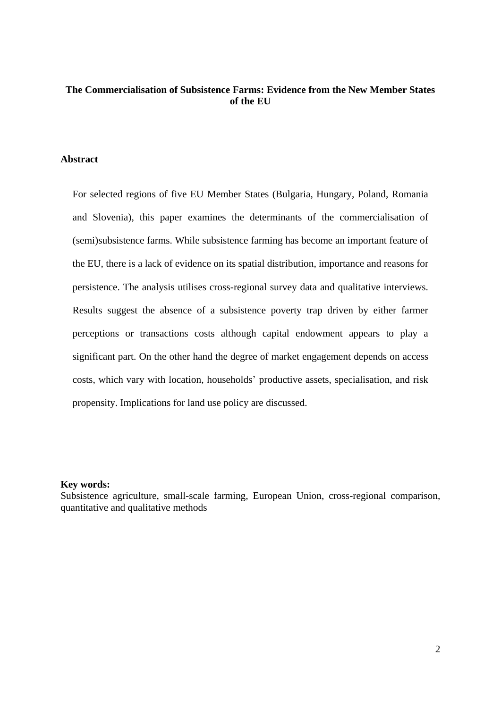## **The Commercialisation of Subsistence Farms: Evidence from the New Member States of the EU**

#### **Abstract**

For selected regions of five EU Member States (Bulgaria, Hungary, Poland, Romania and Slovenia), this paper examines the determinants of the commercialisation of (semi)subsistence farms. While subsistence farming has become an important feature of the EU, there is a lack of evidence on its spatial distribution, importance and reasons for persistence. The analysis utilises cross-regional survey data and qualitative interviews. Results suggest the absence of a subsistence poverty trap driven by either farmer perceptions or transactions costs although capital endowment appears to play a significant part. On the other hand the degree of market engagement depends on access costs, which vary with location, households' productive assets, specialisation, and risk propensity. Implications for land use policy are discussed.

#### **Key words:**

Subsistence agriculture, small-scale farming, European Union, cross-regional comparison, quantitative and qualitative methods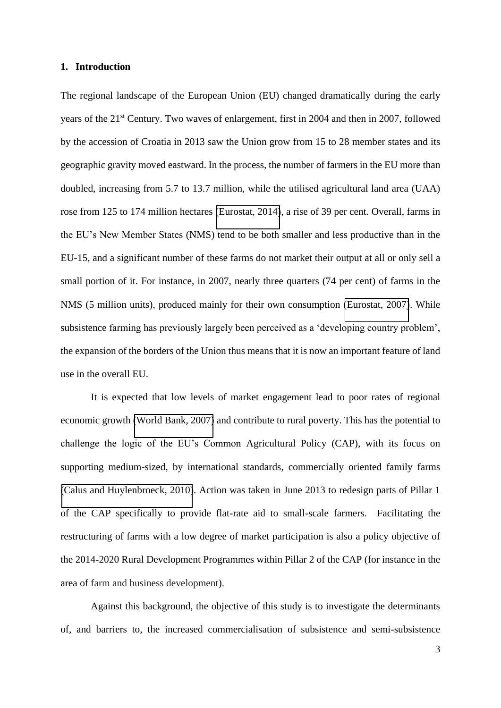#### **1. Introduction**

The regional landscape of the European Union (EU) changed dramatically during the early years of the 21<sup>st</sup> Century. Two waves of enlargement, first in 2004 and then in 2007, followed by the accession of Croatia in 2013 saw the Union grow from 15 to 28 member states and its geographic gravity moved eastward. In the process, the number of farmers in the EU more than doubled, increasing from 5.7 to 13.7 million, while the utilised agricultural land area (UAA) rose from 125 to 174 million hectares [\(Eurostat, 2014\)](#page-26-0), a rise of 39 per cent. Overall, farms in the EU's New Member States (NMS) tend to be both smaller and less productive than in the EU-15, and a significant number of these farms do not market their output at all or only sell a small portion of it. For instance, in 2007, nearly three quarters (74 per cent) of farms in the NMS (5 million units), produced mainly for their own consumption [\(Eurostat, 2007\)](#page-26-1). While subsistence farming has previously largely been perceived as a 'developing country problem', the expansion of the borders of the Union thus means that it is now an important feature of land use in the overall EU.

It is expected that low levels of market engagement lead to poor rates of regional economic growth [\(World Bank, 2007\)](#page-28-0) and contribute to rural poverty. This has the potential to challenge the logic of the EU's Common Agricultural Policy (CAP), with its focus on supporting medium-sized, by international standards, commercially oriented family farms [\(Calus and Huylenbroeck, 2010\)](#page-25-0). Action was taken in June 2013 to redesign parts of Pillar 1 of the CAP specifically to provide flat-rate aid to small-scale farmers. Facilitating the restructuring of farms with a low degree of market participation is also a policy objective of the 2014-2020 Rural Development Programmes within Pillar 2 of the CAP (for instance in the area of farm and business development).

Against this background, the objective of this study is to investigate the determinants of, and barriers to, the increased commercialisation of subsistence and semi-subsistence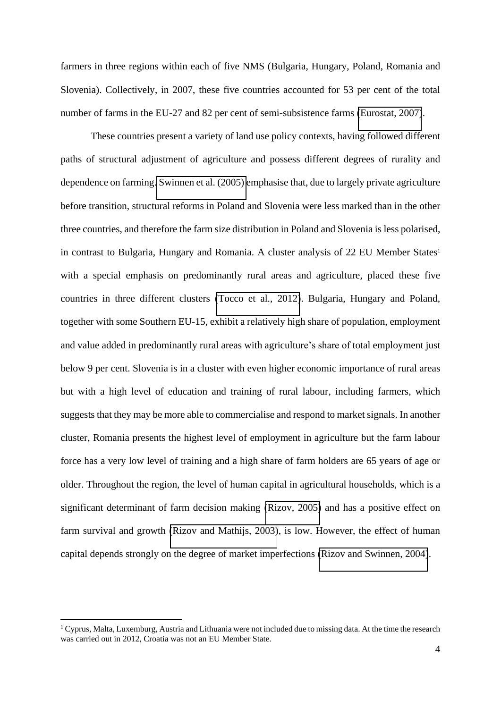farmers in three regions within each of five NMS (Bulgaria, Hungary, Poland, Romania and Slovenia). Collectively, in 2007, these five countries accounted for 53 per cent of the total number of farms in the EU-27 and 82 per cent of semi-subsistence farms [\(Eurostat, 2007\)](#page-26-1).

These countries present a variety of land use policy contexts, having followed different paths of structural adjustment of agriculture and possess different degrees of rurality and dependence on farming. [Swinnen et al. \(2005\) e](#page-27-0)mphasise that, due to largely private agriculture before transition, structural reforms in Poland and Slovenia were less marked than in the other three countries, and therefore the farm size distribution in Poland and Slovenia is less polarised, in contrast to Bulgaria, Hungary and Romania. A cluster analysis of 22 EU Member States<sup>1</sup> with a special emphasis on predominantly rural areas and agriculture, placed these five countries in three different clusters [\(Tocco et al., 2012\)](#page-28-1). Bulgaria, Hungary and Poland, together with some Southern EU-15, exhibit a relatively high share of population, employment and value added in predominantly rural areas with agriculture's share of total employment just below 9 per cent. Slovenia is in a cluster with even higher economic importance of rural areas but with a high level of education and training of rural labour, including farmers, which suggests that they may be more able to commercialise and respond to market signals. In another cluster, Romania presents the highest level of employment in agriculture but the farm labour force has a very low level of training and a high share of farm holders are 65 years of age or older. Throughout the region, the level of human capital in agricultural households, which is a significant determinant of farm decision making [\(Rizov, 2005\)](#page-27-1) and has a positive effect on farm survival and growth [\(Rizov and Mathijs, 2003\)](#page-27-2), is low. However, the effect of human capital depends strongly on the degree of market imperfections [\(Rizov and Swinnen, 2004\)](#page-27-3).

<u>.</u>

<sup>&</sup>lt;sup>1</sup> Cyprus, Malta, Luxemburg, Austria and Lithuania were not included due to missing data. At the time the research was carried out in 2012, Croatia was not an EU Member State.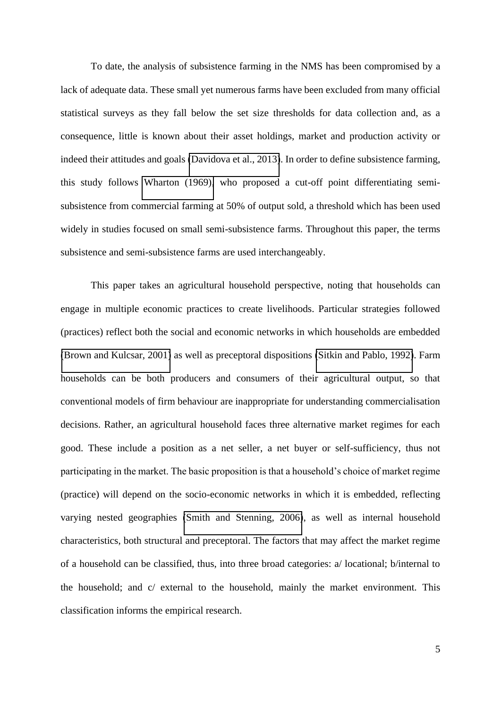To date, the analysis of subsistence farming in the NMS has been compromised by a lack of adequate data. These small yet numerous farms have been excluded from many official statistical surveys as they fall below the set size thresholds for data collection and, as a consequence, little is known about their asset holdings, market and production activity or indeed their attitudes and goals [\(Davidova et al., 2013\)](#page-26-2). In order to define subsistence farming, this study follows [Wharton \(1969\),](#page-28-2) who proposed a cut-off point differentiating semisubsistence from commercial farming at 50% of output sold, a threshold which has been used widely in studies focused on small semi-subsistence farms. Throughout this paper, the terms subsistence and semi-subsistence farms are used interchangeably.

This paper takes an agricultural household perspective, noting that households can engage in multiple economic practices to create livelihoods. Particular strategies followed (practices) reflect both the social and economic networks in which households are embedded [\(Brown and Kulcsar, 2001\)](#page-25-1) as well as preceptoral dispositions [\(Sitkin and Pablo, 1992\)](#page-27-4). Farm households can be both producers and consumers of their agricultural output, so that conventional models of firm behaviour are inappropriate for understanding commercialisation decisions. Rather, an agricultural household faces three alternative market regimes for each good. These include a position as a net seller, a net buyer or self-sufficiency, thus not participating in the market. The basic proposition is that a household's choice of market regime (practice) will depend on the socio-economic networks in which it is embedded, reflecting varying nested geographies [\(Smith and Stenning, 2006\)](#page-27-5), as well as internal household characteristics, both structural and preceptoral. The factors that may affect the market regime of a household can be classified, thus, into three broad categories: a/ locational; b/internal to the household; and c/ external to the household, mainly the market environment. This classification informs the empirical research.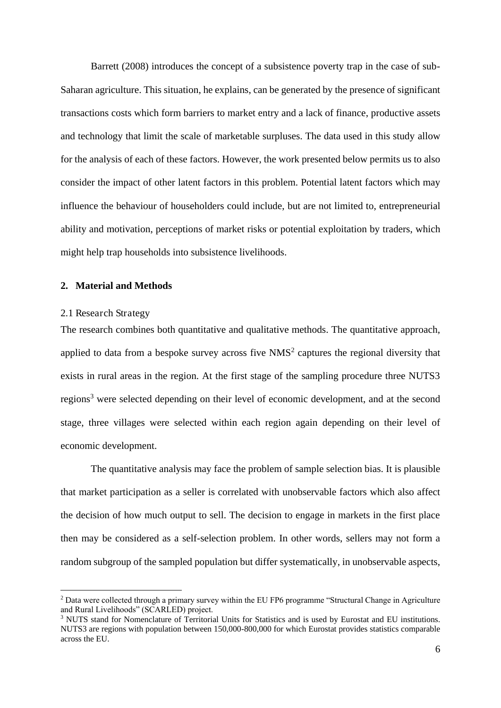Barrett (2008) introduces the concept of a subsistence poverty trap in the case of sub-Saharan agriculture. This situation, he explains, can be generated by the presence of significant transactions costs which form barriers to market entry and a lack of finance, productive assets and technology that limit the scale of marketable surpluses. The data used in this study allow for the analysis of each of these factors. However, the work presented below permits us to also consider the impact of other latent factors in this problem. Potential latent factors which may influence the behaviour of householders could include, but are not limited to, entrepreneurial ability and motivation, perceptions of market risks or potential exploitation by traders, which might help trap households into subsistence livelihoods.

#### **2. Material and Methods**

#### 2.1 Research Strategy

<u>.</u>

The research combines both quantitative and qualitative methods. The quantitative approach, applied to data from a bespoke survey across five  $NMS<sup>2</sup>$  captures the regional diversity that exists in rural areas in the region. At the first stage of the sampling procedure three NUTS3 regions<sup>3</sup> were selected depending on their level of economic development, and at the second stage, three villages were selected within each region again depending on their level of economic development.

The quantitative analysis may face the problem of sample selection bias. It is plausible that market participation as a seller is correlated with unobservable factors which also affect the decision of how much output to sell. The decision to engage in markets in the first place then may be considered as a self-selection problem. In other words, sellers may not form a random subgroup of the sampled population but differ systematically, in unobservable aspects,

<sup>&</sup>lt;sup>2</sup> Data were collected through a primary survey within the EU FP6 programme "Structural Change in Agriculture and Rural Livelihoods" (SCARLED) project.

<sup>&</sup>lt;sup>3</sup> NUTS stand for Nomenclature of Territorial Units for Statistics and is used by Eurostat and EU institutions. NUTS3 are regions with population between 150,000-800,000 for which Eurostat provides statistics comparable across the EU.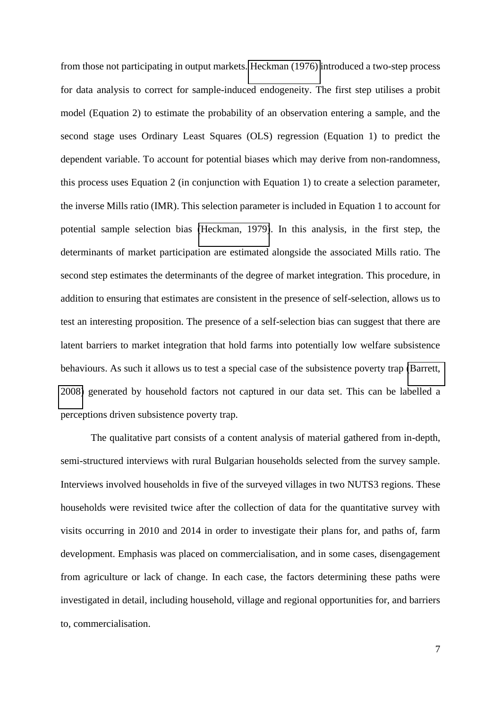from those not participating in output markets. [Heckman \(1976\)](#page-27-6) introduced a two-step process for data analysis to correct for sample-induced endogeneity. The first step utilises a probit model (Equation 2) to estimate the probability of an observation entering a sample, and the second stage uses Ordinary Least Squares (OLS) regression (Equation 1) to predict the dependent variable. To account for potential biases which may derive from non-randomness, this process uses Equation 2 (in conjunction with Equation 1) to create a selection parameter, the inverse Mills ratio (IMR). This selection parameter is included in Equation 1 to account for potential sample selection bias [\(Heckman, 1979\)](#page-27-7). In this analysis, in the first step, the determinants of market participation are estimated alongside the associated Mills ratio. The second step estimates the determinants of the degree of market integration. This procedure, in addition to ensuring that estimates are consistent in the presence of self-selection, allows us to test an interesting proposition. The presence of a self-selection bias can suggest that there are latent barriers to market integration that hold farms into potentially low welfare subsistence behaviours. As such it allows us to test a special case of the subsistence poverty trap [\(Barrett,](#page-25-2)  [2008\)](#page-25-2) generated by household factors not captured in our data set. This can be labelled a perceptions driven subsistence poverty trap.

The qualitative part consists of a content analysis of material gathered from in-depth, semi-structured interviews with rural Bulgarian households selected from the survey sample. Interviews involved households in five of the surveyed villages in two NUTS3 regions. These households were revisited twice after the collection of data for the quantitative survey with visits occurring in 2010 and 2014 in order to investigate their plans for, and paths of, farm development. Emphasis was placed on commercialisation, and in some cases, disengagement from agriculture or lack of change. In each case, the factors determining these paths were investigated in detail, including household, village and regional opportunities for, and barriers to, commercialisation.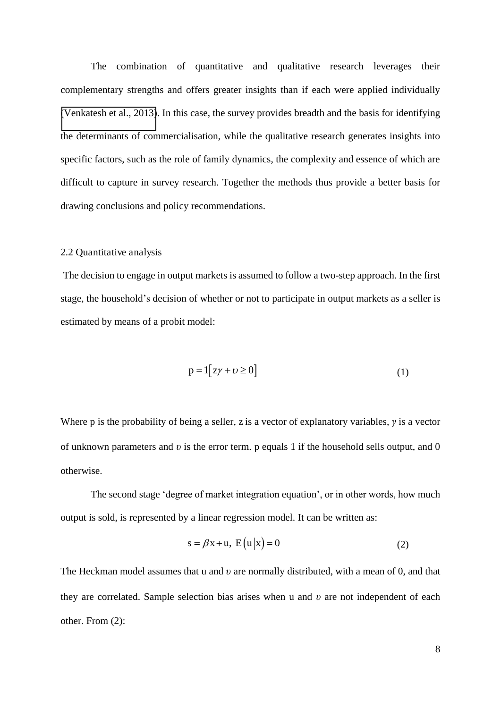The combination of quantitative and qualitative research leverages their complementary strengths and offers greater insights than if each were applied individually [\(Venkatesh et al., 2013\)](#page-28-3). In this case, the survey provides breadth and the basis for identifying the determinants of commercialisation, while the qualitative research generates insights into specific factors, such as the role of family dynamics, the complexity and essence of which are difficult to capture in survey research. Together the methods thus provide a better basis for drawing conclusions and policy recommendations.

#### 2.2 Quantitative analysis

 The decision to engage in output markets is assumed to follow a two-step approach. In the first stage, the household's decision of whether or not to participate in output markets as a seller is estimated by means of a probit model:

$$
p = 1[z\gamma + \upsilon \ge 0]
$$
 (1)

Where p is the probability of being a seller, z is a vector of explanatory variables,  $\gamma$  is a vector of unknown parameters and  $v$  is the error term. p equals 1 if the household sells output, and  $0$ otherwise.

The second stage 'degree of market integration equation', or in other words, how much output is sold, is represented by a linear regression model. It can be written as:

$$
s = \beta x + u, E(u|x) = 0
$$
 (2)

The Heckman model assumes that u and *v* are normally distributed, with a mean of 0, and that they are correlated. Sample selection bias arises when u and  $v$  are not independent of each other. From (2):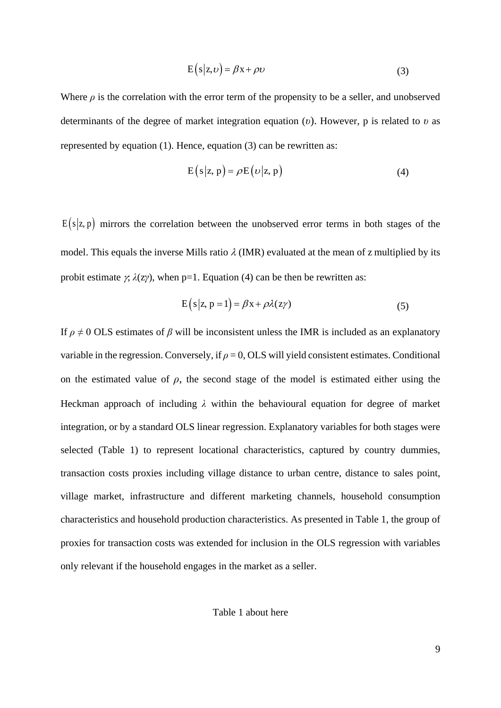$$
E(s|z,\nu) = \beta x + \rho \nu \tag{3}
$$

Where  $\rho$  is the correlation with the error term of the propensity to be a seller, and unobserved determinants of the degree of market integration equation  $(v)$ . However, p is related to  $v$  as represented by equation (1). Hence, equation (3) can be rewritten as:

$$
E(s|z, p) = \rho E(\nu|z, p)
$$
 (4)

 $E(s|z, p)$  mirrors the correlation between the unobserved error terms in both stages of the model. This equals the inverse Mills ratio  $\lambda$  (IMR) evaluated at the mean of z multiplied by its probit estimate  $\chi$ ,  $\lambda$ (z $\gamma$ ), when p=1. Equation (4) can be then be rewritten as:

$$
E(s|z, p=1) = \beta x + \rho \lambda (z\gamma)
$$
 (5)

If  $\rho \neq 0$  OLS estimates of  $\beta$  will be inconsistent unless the IMR is included as an explanatory variable in the regression. Conversely, if  $\rho = 0$ , OLS will yield consistent estimates. Conditional on the estimated value of  $\rho$ , the second stage of the model is estimated either using the Heckman approach of including  $\lambda$  within the behavioural equation for degree of market integration, or by a standard OLS linear regression. Explanatory variables for both stages were selected (Table 1) to represent locational characteristics, captured by country dummies, transaction costs proxies including village distance to urban centre, distance to sales point, village market, infrastructure and different marketing channels, household consumption characteristics and household production characteristics. As presented in Table 1, the group of proxies for transaction costs was extended for inclusion in the OLS regression with variables only relevant if the household engages in the market as a seller.

Table 1 about here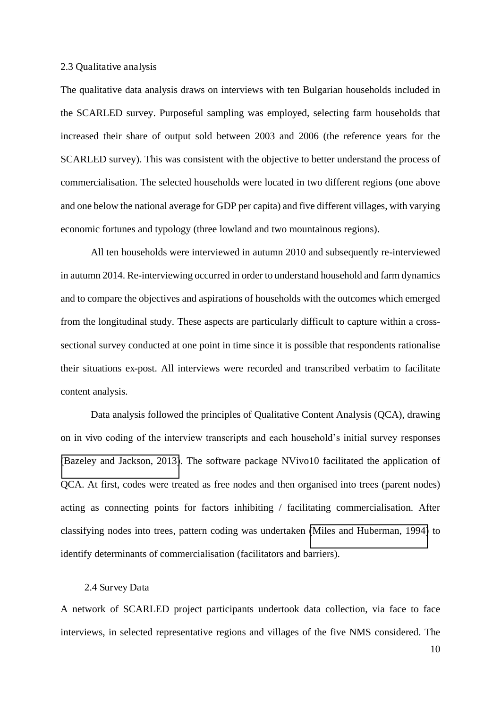#### 2.3 Qualitative analysis

The qualitative data analysis draws on interviews with ten Bulgarian households included in the SCARLED survey. Purposeful sampling was employed, selecting farm households that increased their share of output sold between 2003 and 2006 (the reference years for the SCARLED survey). This was consistent with the objective to better understand the process of commercialisation. The selected households were located in two different regions (one above and one below the national average for GDP per capita) and five different villages, with varying economic fortunes and typology (three lowland and two mountainous regions).

All ten households were interviewed in autumn 2010 and subsequently re-interviewed in autumn 2014. Re-interviewing occurred in order to understand household and farm dynamics and to compare the objectives and aspirations of households with the outcomes which emerged from the longitudinal study. These aspects are particularly difficult to capture within a crosssectional survey conducted at one point in time since it is possible that respondents rationalise their situations ex-post. All interviews were recorded and transcribed verbatim to facilitate content analysis.

Data analysis followed the principles of Qualitative Content Analysis (QCA), drawing on in vivo coding of the interview transcripts and each household's initial survey responses [\(Bazeley and Jackson, 2013\)](#page-25-3). The software package NVivo10 facilitated the application of QCA. At first, codes were treated as free nodes and then organised into trees (parent nodes) acting as connecting points for factors inhibiting / facilitating commercialisation. After classifying nodes into trees, pattern coding was undertaken [\(Miles and Huberman, 1994\)](#page-27-8) to identify determinants of commercialisation (facilitators and barriers).

#### 2.4 Survey Data

A network of SCARLED project participants undertook data collection, via face to face interviews, in selected representative regions and villages of the five NMS considered. The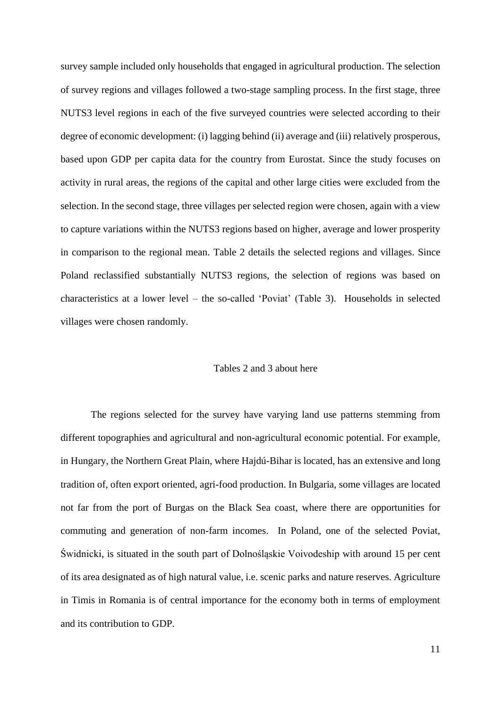survey sample included only households that engaged in agricultural production. The selection of survey regions and villages followed a two-stage sampling process. In the first stage, three NUTS3 level regions in each of the five surveyed countries were selected according to their degree of economic development: (i) lagging behind (ii) average and (iii) relatively prosperous, based upon GDP per capita data for the country from Eurostat. Since the study focuses on activity in rural areas, the regions of the capital and other large cities were excluded from the selection. In the second stage, three villages per selected region were chosen, again with a view to capture variations within the NUTS3 regions based on higher, average and lower prosperity in comparison to the regional mean. Table 2 details the selected regions and villages. Since Poland reclassified substantially NUTS3 regions, the selection of regions was based on characteristics at a lower level – the so-called 'Poviat' (Table 3). Households in selected villages were chosen randomly.

#### Tables 2 and 3 about here

The regions selected for the survey have varying land use patterns stemming from different topographies and agricultural and non-agricultural economic potential. For example, in Hungary, the Northern Great Plain, where Hajdú-Bihar is located, has an extensive and long tradition of, often export oriented, agri-food production. In Bulgaria, some villages are located not far from the port of Burgas on the Black Sea coast, where there are opportunities for commuting and generation of non-farm incomes. In Poland, one of the selected Poviat, Świdnicki, is situated in the south part of Dolnośląskie Voivodeship with around 15 per cent of its area designated as of high natural value, i.e. scenic parks and nature reserves. Agriculture in Timis in Romania is of central importance for the economy both in terms of employment and its contribution to GDP.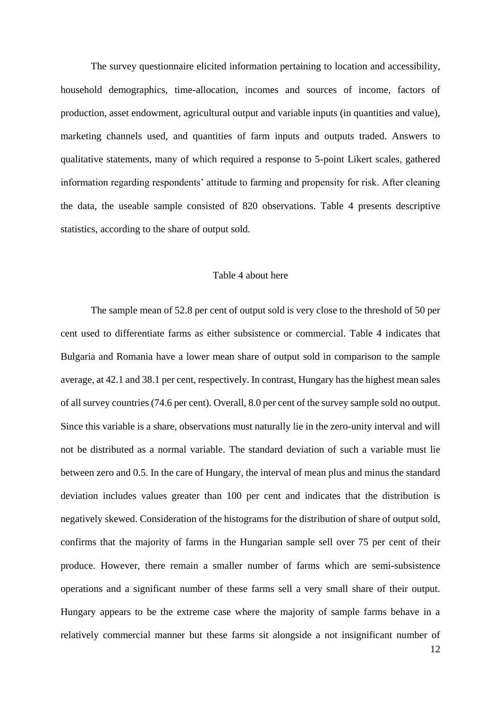The survey questionnaire elicited information pertaining to location and accessibility, household demographics, time-allocation, incomes and sources of income, factors of production, asset endowment, agricultural output and variable inputs (in quantities and value), marketing channels used, and quantities of farm inputs and outputs traded. Answers to qualitative statements, many of which required a response to 5-point Likert scales, gathered information regarding respondents' attitude to farming and propensity for risk. After cleaning the data, the useable sample consisted of 820 observations. Table 4 presents descriptive statistics, according to the share of output sold.

#### Table 4 about here

The sample mean of 52.8 per cent of output sold is very close to the threshold of 50 per cent used to differentiate farms as either subsistence or commercial. Table 4 indicates that Bulgaria and Romania have a lower mean share of output sold in comparison to the sample average, at 42.1 and 38.1 per cent, respectively. In contrast, Hungary has the highest mean sales of all survey countries (74.6 per cent). Overall, 8.0 per cent of the survey sample sold no output. Since this variable is a share, observations must naturally lie in the zero-unity interval and will not be distributed as a normal variable. The standard deviation of such a variable must lie between zero and 0.5. In the care of Hungary, the interval of mean plus and minus the standard deviation includes values greater than 100 per cent and indicates that the distribution is negatively skewed. Consideration of the histograms for the distribution of share of output sold, confirms that the majority of farms in the Hungarian sample sell over 75 per cent of their produce. However, there remain a smaller number of farms which are semi-subsistence operations and a significant number of these farms sell a very small share of their output. Hungary appears to be the extreme case where the majority of sample farms behave in a relatively commercial manner but these farms sit alongside a not insignificant number of

12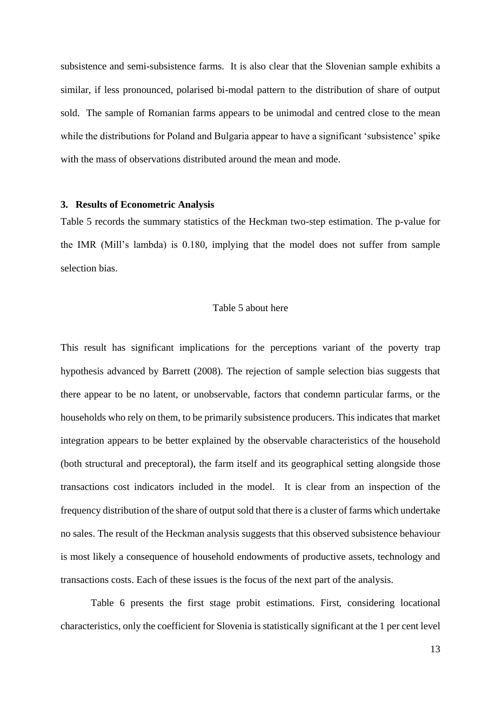subsistence and semi-subsistence farms. It is also clear that the Slovenian sample exhibits a similar, if less pronounced, polarised bi-modal pattern to the distribution of share of output sold. The sample of Romanian farms appears to be unimodal and centred close to the mean while the distributions for Poland and Bulgaria appear to have a significant 'subsistence' spike with the mass of observations distributed around the mean and mode.

#### **3. Results of Econometric Analysis**

Table 5 records the summary statistics of the Heckman two-step estimation. The p-value for the IMR (Mill's lambda) is 0.180, implying that the model does not suffer from sample selection bias.

#### Table 5 about here

This result has significant implications for the perceptions variant of the poverty trap hypothesis advanced by Barrett (2008). The rejection of sample selection bias suggests that there appear to be no latent, or unobservable, factors that condemn particular farms, or the households who rely on them, to be primarily subsistence producers. This indicates that market integration appears to be better explained by the observable characteristics of the household (both structural and preceptoral), the farm itself and its geographical setting alongside those transactions cost indicators included in the model. It is clear from an inspection of the frequency distribution of the share of output sold that there is a cluster of farms which undertake no sales. The result of the Heckman analysis suggests that this observed subsistence behaviour is most likely a consequence of household endowments of productive assets, technology and transactions costs. Each of these issues is the focus of the next part of the analysis.

Table 6 presents the first stage probit estimations. First, considering locational characteristics, only the coefficient for Slovenia is statistically significant at the 1 per cent level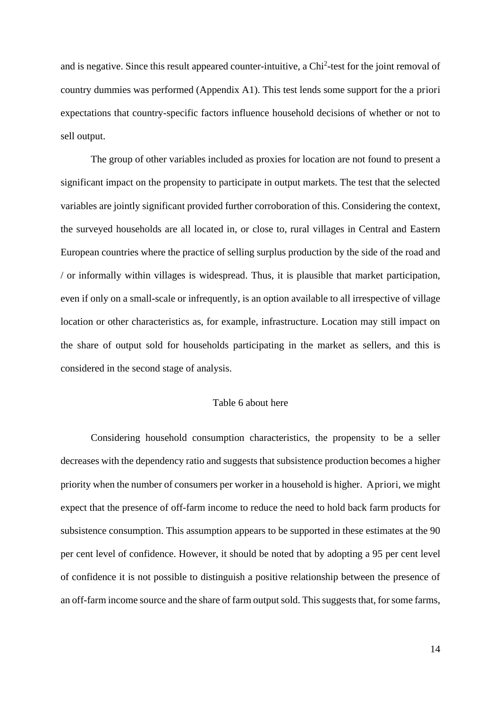and is negative. Since this result appeared counter-intuitive, a Chi<sup>2</sup>-test for the joint removal of country dummies was performed (Appendix A1). This test lends some support for the a priori expectations that country-specific factors influence household decisions of whether or not to sell output.

The group of other variables included as proxies for location are not found to present a significant impact on the propensity to participate in output markets. The test that the selected variables are jointly significant provided further corroboration of this. Considering the context, the surveyed households are all located in, or close to, rural villages in Central and Eastern European countries where the practice of selling surplus production by the side of the road and / or informally within villages is widespread. Thus, it is plausible that market participation, even if only on a small-scale or infrequently, is an option available to all irrespective of village location or other characteristics as, for example, infrastructure. Location may still impact on the share of output sold for households participating in the market as sellers, and this is considered in the second stage of analysis.

#### Table 6 about here

Considering household consumption characteristics, the propensity to be a seller decreases with the dependency ratio and suggests that subsistence production becomes a higher priority when the number of consumers per worker in a household is higher. A priori, we might expect that the presence of off-farm income to reduce the need to hold back farm products for subsistence consumption. This assumption appears to be supported in these estimates at the 90 per cent level of confidence. However, it should be noted that by adopting a 95 per cent level of confidence it is not possible to distinguish a positive relationship between the presence of an off-farm income source and the share of farm output sold. This suggests that, for some farms,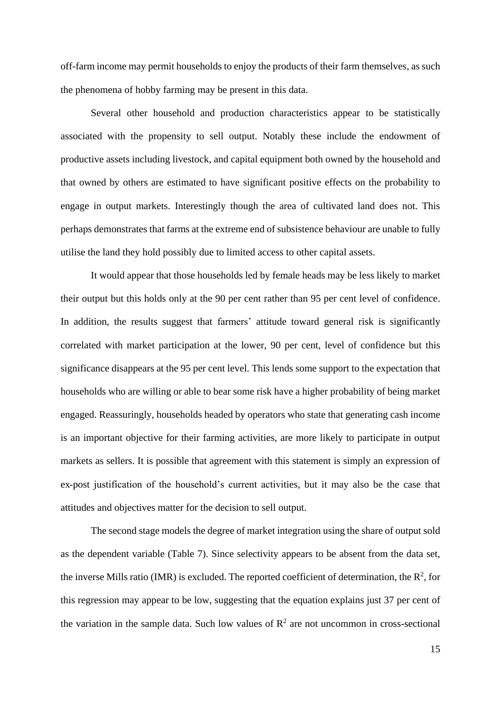off-farm income may permit households to enjoy the products of their farm themselves, as such the phenomena of hobby farming may be present in this data.

Several other household and production characteristics appear to be statistically associated with the propensity to sell output. Notably these include the endowment of productive assets including livestock, and capital equipment both owned by the household and that owned by others are estimated to have significant positive effects on the probability to engage in output markets. Interestingly though the area of cultivated land does not. This perhaps demonstrates that farms at the extreme end of subsistence behaviour are unable to fully utilise the land they hold possibly due to limited access to other capital assets.

It would appear that those households led by female heads may be less likely to market their output but this holds only at the 90 per cent rather than 95 per cent level of confidence. In addition, the results suggest that farmers' attitude toward general risk is significantly correlated with market participation at the lower, 90 per cent, level of confidence but this significance disappears at the 95 per cent level. This lends some support to the expectation that households who are willing or able to bear some risk have a higher probability of being market engaged. Reassuringly, households headed by operators who state that generating cash income is an important objective for their farming activities, are more likely to participate in output markets as sellers. It is possible that agreement with this statement is simply an expression of ex-post justification of the household's current activities, but it may also be the case that attitudes and objectives matter for the decision to sell output.

The second stage models the degree of market integration using the share of output sold as the dependent variable (Table 7). Since selectivity appears to be absent from the data set, the inverse Mills ratio (IMR) is excluded. The reported coefficient of determination, the  $\mathbb{R}^2$ , for this regression may appear to be low, suggesting that the equation explains just 37 per cent of the variation in the sample data. Such low values of  $\mathbb{R}^2$  are not uncommon in cross-sectional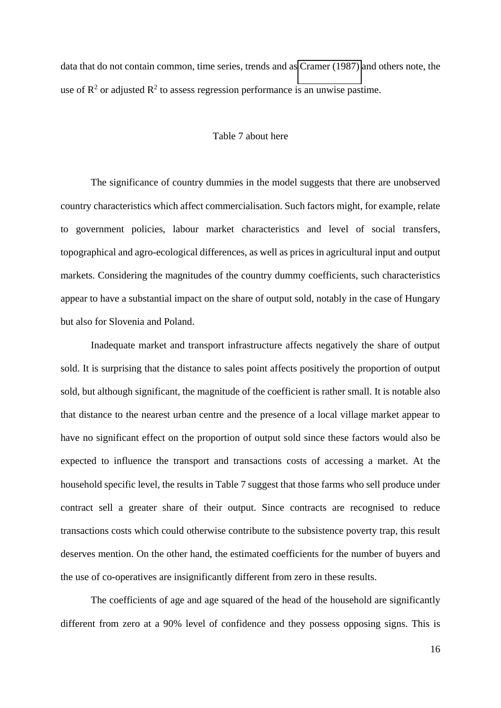data that do not contain common, time series, trends and as [Cramer \(1987\)](#page-25-4) and others note, the use of  $\mathbb{R}^2$  or adjusted  $\mathbb{R}^2$  to assess regression performance is an unwise pastime.

#### Table 7 about here

The significance of country dummies in the model suggests that there are unobserved country characteristics which affect commercialisation. Such factors might, for example, relate to government policies, labour market characteristics and level of social transfers, topographical and agro-ecological differences, as well as prices in agricultural input and output markets. Considering the magnitudes of the country dummy coefficients, such characteristics appear to have a substantial impact on the share of output sold, notably in the case of Hungary but also for Slovenia and Poland.

Inadequate market and transport infrastructure affects negatively the share of output sold. It is surprising that the distance to sales point affects positively the proportion of output sold, but although significant, the magnitude of the coefficient is rather small. It is notable also that distance to the nearest urban centre and the presence of a local village market appear to have no significant effect on the proportion of output sold since these factors would also be expected to influence the transport and transactions costs of accessing a market. At the household specific level, the results in Table 7 suggest that those farms who sell produce under contract sell a greater share of their output. Since contracts are recognised to reduce transactions costs which could otherwise contribute to the subsistence poverty trap, this result deserves mention. On the other hand, the estimated coefficients for the number of buyers and the use of co-operatives are insignificantly different from zero in these results.

The coefficients of age and age squared of the head of the household are significantly different from zero at a 90% level of confidence and they possess opposing signs. This is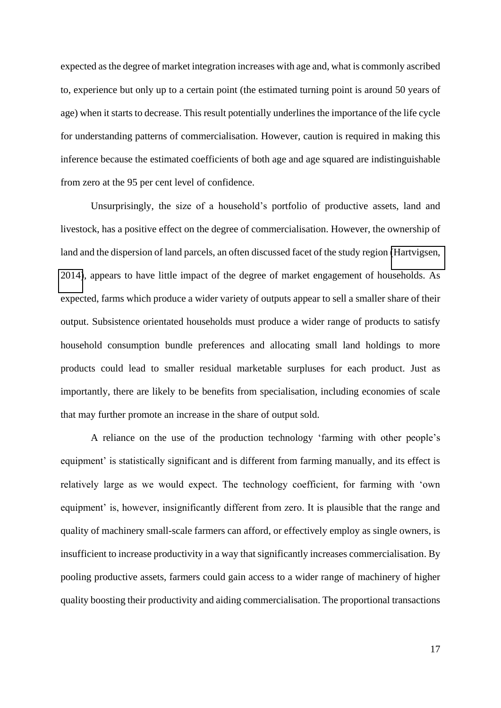expected as the degree of market integration increases with age and, what is commonly ascribed to, experience but only up to a certain point (the estimated turning point is around 50 years of age) when it starts to decrease. This result potentially underlines the importance of the life cycle for understanding patterns of commercialisation. However, caution is required in making this inference because the estimated coefficients of both age and age squared are indistinguishable from zero at the 95 per cent level of confidence.

Unsurprisingly, the size of a household's portfolio of productive assets, land and livestock, has a positive effect on the degree of commercialisation. However, the ownership of land and the dispersion of land parcels, an often discussed facet of the study region [\(Hartvigsen,](#page-26-3)  [2014\)](#page-26-3), appears to have little impact of the degree of market engagement of households. As expected, farms which produce a wider variety of outputs appear to sell a smaller share of their output. Subsistence orientated households must produce a wider range of products to satisfy household consumption bundle preferences and allocating small land holdings to more products could lead to smaller residual marketable surpluses for each product. Just as importantly, there are likely to be benefits from specialisation, including economies of scale that may further promote an increase in the share of output sold.

A reliance on the use of the production technology 'farming with other people's equipment' is statistically significant and is different from farming manually, and its effect is relatively large as we would expect. The technology coefficient, for farming with 'own equipment' is, however, insignificantly different from zero. It is plausible that the range and quality of machinery small-scale farmers can afford, or effectively employ as single owners, is insufficient to increase productivity in a way that significantly increases commercialisation. By pooling productive assets, farmers could gain access to a wider range of machinery of higher quality boosting their productivity and aiding commercialisation. The proportional transactions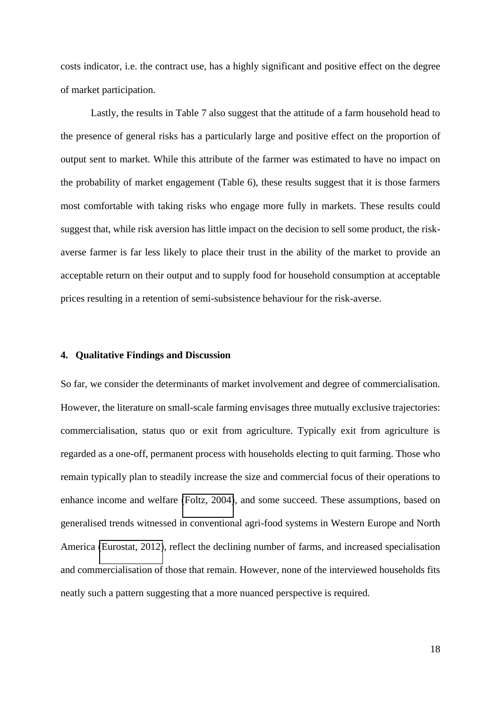costs indicator, i.e. the contract use, has a highly significant and positive effect on the degree of market participation.

Lastly, the results in Table 7 also suggest that the attitude of a farm household head to the presence of general risks has a particularly large and positive effect on the proportion of output sent to market. While this attribute of the farmer was estimated to have no impact on the probability of market engagement (Table 6), these results suggest that it is those farmers most comfortable with taking risks who engage more fully in markets. These results could suggest that, while risk aversion has little impact on the decision to sell some product, the riskaverse farmer is far less likely to place their trust in the ability of the market to provide an acceptable return on their output and to supply food for household consumption at acceptable prices resulting in a retention of semi-subsistence behaviour for the risk-averse.

#### **4. Qualitative Findings and Discussion**

So far, we consider the determinants of market involvement and degree of commercialisation. However, the literature on small-scale farming envisages three mutually exclusive trajectories: commercialisation, status quo or exit from agriculture. Typically exit from agriculture is regarded as a one-off, permanent process with households electing to quit farming. Those who remain typically plan to steadily increase the size and commercial focus of their operations to enhance income and welfare [\(Foltz, 2004\)](#page-26-4), and some succeed. These assumptions, based on generalised trends witnessed in conventional agri-food systems in Western Europe and North America [\(Eurostat, 2012\)](#page-26-5), reflect the declining number of farms, and increased specialisation and commercialisation of those that remain. However, none of the interviewed households fits neatly such a pattern suggesting that a more nuanced perspective is required.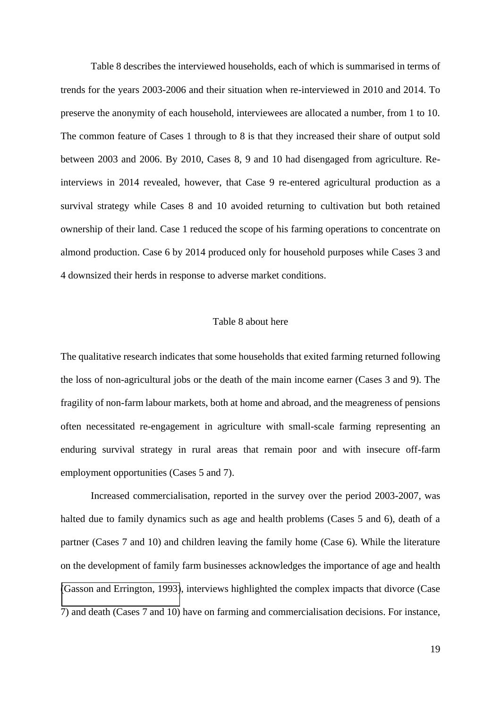Table 8 describes the interviewed households, each of which is summarised in terms of trends for the years 2003-2006 and their situation when re-interviewed in 2010 and 2014. To preserve the anonymity of each household, interviewees are allocated a number, from 1 to 10. The common feature of Cases 1 through to 8 is that they increased their share of output sold between 2003 and 2006. By 2010, Cases 8, 9 and 10 had disengaged from agriculture. Reinterviews in 2014 revealed, however, that Case 9 re-entered agricultural production as a survival strategy while Cases 8 and 10 avoided returning to cultivation but both retained ownership of their land. Case 1 reduced the scope of his farming operations to concentrate on almond production. Case 6 by 2014 produced only for household purposes while Cases 3 and 4 downsized their herds in response to adverse market conditions.

#### Table 8 about here

The qualitative research indicates that some households that exited farming returned following the loss of non-agricultural jobs or the death of the main income earner (Cases 3 and 9). The fragility of non-farm labour markets, both at home and abroad, and the meagreness of pensions often necessitated re-engagement in agriculture with small-scale farming representing an enduring survival strategy in rural areas that remain poor and with insecure off-farm employment opportunities (Cases 5 and 7).

Increased commercialisation, reported in the survey over the period 2003-2007, was halted due to family dynamics such as age and health problems (Cases 5 and 6), death of a partner (Cases 7 and 10) and children leaving the family home (Case 6). While the literature on the development of family farm businesses acknowledges the importance of age and health [\(Gasson and Errington, 1993\)](#page-26-6), interviews highlighted the complex impacts that divorce (Case 7) and death (Cases 7 and 10) have on farming and commercialisation decisions. For instance,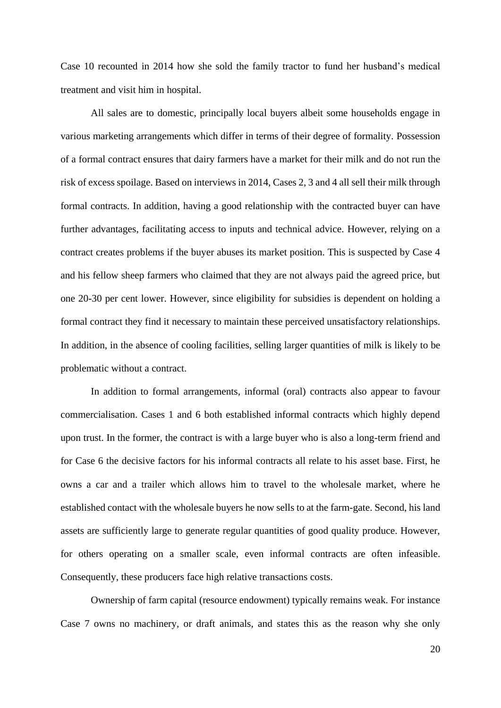Case 10 recounted in 2014 how she sold the family tractor to fund her husband's medical treatment and visit him in hospital.

All sales are to domestic, principally local buyers albeit some households engage in various marketing arrangements which differ in terms of their degree of formality. Possession of a formal contract ensures that dairy farmers have a market for their milk and do not run the risk of excess spoilage. Based on interviews in 2014, Cases 2, 3 and 4 all sell their milk through formal contracts. In addition, having a good relationship with the contracted buyer can have further advantages, facilitating access to inputs and technical advice. However, relying on a contract creates problems if the buyer abuses its market position. This is suspected by Case 4 and his fellow sheep farmers who claimed that they are not always paid the agreed price, but one 20-30 per cent lower. However, since eligibility for subsidies is dependent on holding a formal contract they find it necessary to maintain these perceived unsatisfactory relationships. In addition, in the absence of cooling facilities, selling larger quantities of milk is likely to be problematic without a contract.

In addition to formal arrangements, informal (oral) contracts also appear to favour commercialisation. Cases 1 and 6 both established informal contracts which highly depend upon trust. In the former, the contract is with a large buyer who is also a long-term friend and for Case 6 the decisive factors for his informal contracts all relate to his asset base. First, he owns a car and a trailer which allows him to travel to the wholesale market, where he established contact with the wholesale buyers he now sells to at the farm-gate. Second, his land assets are sufficiently large to generate regular quantities of good quality produce. However, for others operating on a smaller scale, even informal contracts are often infeasible. Consequently, these producers face high relative transactions costs.

Ownership of farm capital (resource endowment) typically remains weak. For instance Case 7 owns no machinery, or draft animals, and states this as the reason why she only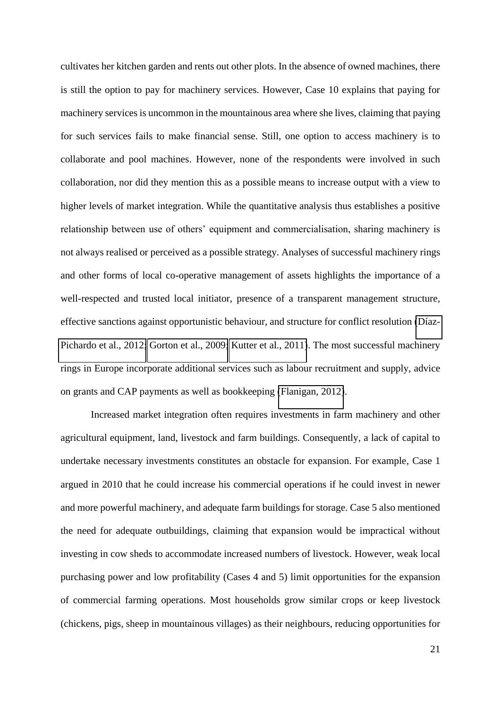cultivates her kitchen garden and rents out other plots. In the absence of owned machines, there is still the option to pay for machinery services. However, Case 10 explains that paying for machinery services is uncommon in the mountainous area where she lives, claiming that paying for such services fails to make financial sense. Still, one option to access machinery is to collaborate and pool machines. However, none of the respondents were involved in such collaboration, nor did they mention this as a possible means to increase output with a view to higher levels of market integration. While the quantitative analysis thus establishes a positive relationship between use of others' equipment and commercialisation, sharing machinery is not always realised or perceived as a possible strategy. Analyses of successful machinery rings and other forms of local co-operative management of assets highlights the importance of a well-respected and trusted local initiator, presence of a transparent management structure, effective sanctions against opportunistic behaviour, and structure for conflict resolution [\(Díaz-](#page-26-7)[Pichardo et al., 2012;](#page-26-7) [Gorton et al., 2009;](#page-26-8) [Kutter et al., 2011\)](#page-27-9). The most successful machinery rings in Europe incorporate additional services such as labour recruitment and supply, advice on grants and CAP payments as well as bookkeeping [\(Flanigan, 2012\)](#page-26-9).

Increased market integration often requires investments in farm machinery and other agricultural equipment, land, livestock and farm buildings. Consequently, a lack of capital to undertake necessary investments constitutes an obstacle for expansion. For example, Case 1 argued in 2010 that he could increase his commercial operations if he could invest in newer and more powerful machinery, and adequate farm buildings for storage. Case 5 also mentioned the need for adequate outbuildings, claiming that expansion would be impractical without investing in cow sheds to accommodate increased numbers of livestock. However, weak local purchasing power and low profitability (Cases 4 and 5) limit opportunities for the expansion of commercial farming operations. Most households grow similar crops or keep livestock (chickens, pigs, sheep in mountainous villages) as their neighbours, reducing opportunities for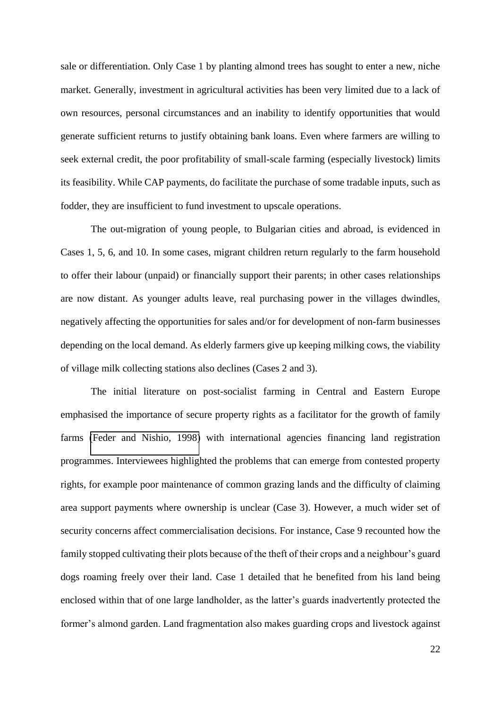sale or differentiation. Only Case 1 by planting almond trees has sought to enter a new, niche market. Generally, investment in agricultural activities has been very limited due to a lack of own resources, personal circumstances and an inability to identify opportunities that would generate sufficient returns to justify obtaining bank loans. Even where farmers are willing to seek external credit, the poor profitability of small-scale farming (especially livestock) limits its feasibility. While CAP payments, do facilitate the purchase of some tradable inputs, such as fodder, they are insufficient to fund investment to upscale operations.

The out-migration of young people, to Bulgarian cities and abroad, is evidenced in Cases 1, 5, 6, and 10. In some cases, migrant children return regularly to the farm household to offer their labour (unpaid) or financially support their parents; in other cases relationships are now distant. As younger adults leave, real purchasing power in the villages dwindles, negatively affecting the opportunities for sales and/or for development of non-farm businesses depending on the local demand. As elderly farmers give up keeping milking cows, the viability of village milk collecting stations also declines (Cases 2 and 3).

The initial literature on post-socialist farming in Central and Eastern Europe emphasised the importance of secure property rights as a facilitator for the growth of family farms [\(Feder and Nishio, 1998\)](#page-26-10) with international agencies financing land registration programmes. Interviewees highlighted the problems that can emerge from contested property rights, for example poor maintenance of common grazing lands and the difficulty of claiming area support payments where ownership is unclear (Case 3). However, a much wider set of security concerns affect commercialisation decisions. For instance, Case 9 recounted how the family stopped cultivating their plots because of the theft of their crops and a neighbour's guard dogs roaming freely over their land. Case 1 detailed that he benefited from his land being enclosed within that of one large landholder, as the latter's guards inadvertently protected the former's almond garden. Land fragmentation also makes guarding crops and livestock against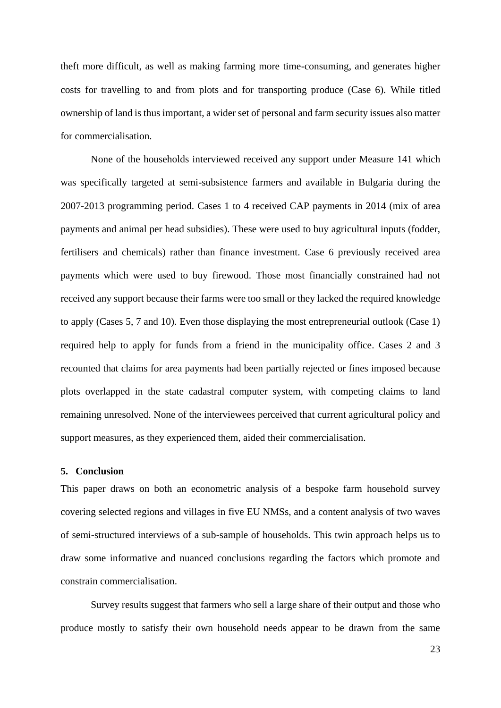theft more difficult, as well as making farming more time-consuming, and generates higher costs for travelling to and from plots and for transporting produce (Case 6). While titled ownership of land is thus important, a wider set of personal and farm security issues also matter for commercialisation.

None of the households interviewed received any support under Measure 141 which was specifically targeted at semi-subsistence farmers and available in Bulgaria during the 2007-2013 programming period. Cases 1 to 4 received CAP payments in 2014 (mix of area payments and animal per head subsidies). These were used to buy agricultural inputs (fodder, fertilisers and chemicals) rather than finance investment. Case 6 previously received area payments which were used to buy firewood. Those most financially constrained had not received any support because their farms were too small or they lacked the required knowledge to apply (Cases 5, 7 and 10). Even those displaying the most entrepreneurial outlook (Case 1) required help to apply for funds from a friend in the municipality office. Cases 2 and 3 recounted that claims for area payments had been partially rejected or fines imposed because plots overlapped in the state cadastral computer system, with competing claims to land remaining unresolved. None of the interviewees perceived that current agricultural policy and support measures, as they experienced them, aided their commercialisation.

#### **5. Conclusion**

This paper draws on both an econometric analysis of a bespoke farm household survey covering selected regions and villages in five EU NMSs, and a content analysis of two waves of semi-structured interviews of a sub-sample of households. This twin approach helps us to draw some informative and nuanced conclusions regarding the factors which promote and constrain commercialisation.

Survey results suggest that farmers who sell a large share of their output and those who produce mostly to satisfy their own household needs appear to be drawn from the same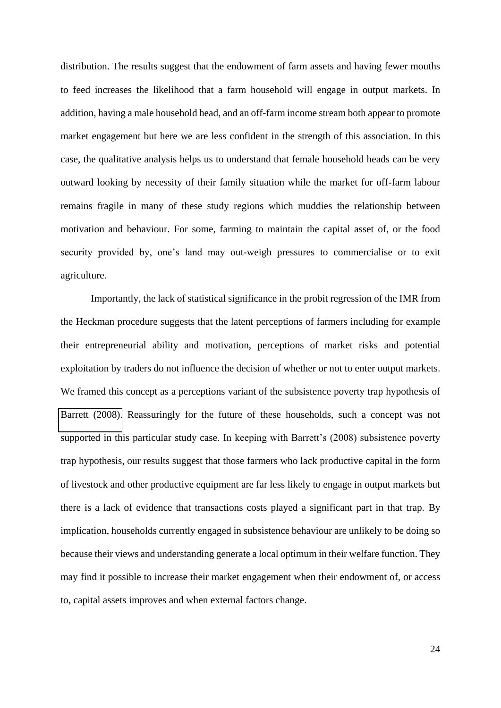distribution. The results suggest that the endowment of farm assets and having fewer mouths to feed increases the likelihood that a farm household will engage in output markets. In addition, having a male household head, and an off-farm income stream both appear to promote market engagement but here we are less confident in the strength of this association. In this case, the qualitative analysis helps us to understand that female household heads can be very outward looking by necessity of their family situation while the market for off-farm labour remains fragile in many of these study regions which muddies the relationship between motivation and behaviour. For some, farming to maintain the capital asset of, or the food security provided by, one's land may out-weigh pressures to commercialise or to exit agriculture.

Importantly, the lack of statistical significance in the probit regression of the IMR from the Heckman procedure suggests that the latent perceptions of farmers including for example their entrepreneurial ability and motivation, perceptions of market risks and potential exploitation by traders do not influence the decision of whether or not to enter output markets. We framed this concept as a perceptions variant of the subsistence poverty trap hypothesis of [Barrett \(2008\).](#page-25-2) Reassuringly for the future of these households, such a concept was not supported in this particular study case. In keeping with Barrett's (2008) subsistence poverty trap hypothesis, our results suggest that those farmers who lack productive capital in the form of livestock and other productive equipment are far less likely to engage in output markets but there is a lack of evidence that transactions costs played a significant part in that trap. By implication, households currently engaged in subsistence behaviour are unlikely to be doing so because their views and understanding generate a local optimum in their welfare function. They may find it possible to increase their market engagement when their endowment of, or access to, capital assets improves and when external factors change.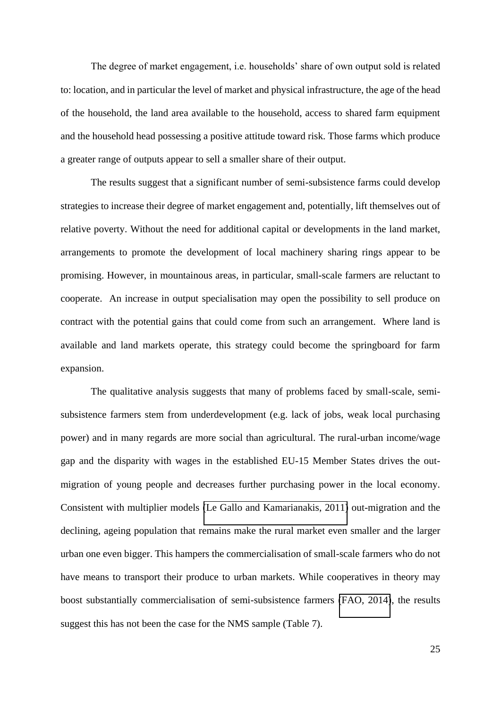The degree of market engagement, i.e. households' share of own output sold is related to: location, and in particular the level of market and physical infrastructure, the age of the head of the household, the land area available to the household, access to shared farm equipment and the household head possessing a positive attitude toward risk. Those farms which produce a greater range of outputs appear to sell a smaller share of their output.

The results suggest that a significant number of semi-subsistence farms could develop strategies to increase their degree of market engagement and, potentially, lift themselves out of relative poverty. Without the need for additional capital or developments in the land market, arrangements to promote the development of local machinery sharing rings appear to be promising. However, in mountainous areas, in particular, small-scale farmers are reluctant to cooperate. An increase in output specialisation may open the possibility to sell produce on contract with the potential gains that could come from such an arrangement. Where land is available and land markets operate, this strategy could become the springboard for farm expansion.

<span id="page-25-4"></span><span id="page-25-3"></span><span id="page-25-2"></span><span id="page-25-1"></span><span id="page-25-0"></span>The qualitative analysis suggests that many of problems faced by small-scale, semisubsistence farmers stem from underdevelopment (e.g. lack of jobs, weak local purchasing power) and in many regards are more social than agricultural. The rural-urban income/wage gap and the disparity with wages in the established EU-15 Member States drives the outmigration of young people and decreases further purchasing power in the local economy. Consistent with multiplier models [\(Le Gallo and Kamarianakis, 2011\)](#page-27-10) out-migration and the declining, ageing population that remains make the rural market even smaller and the larger urban one even bigger. This hampers the commercialisation of small-scale farmers who do not have means to transport their produce to urban markets. While cooperatives in theory may boost substantially commercialisation of semi-subsistence farmers [\(FAO, 2014\)](#page-26-11), the results suggest this has not been the case for the NMS sample (Table 7).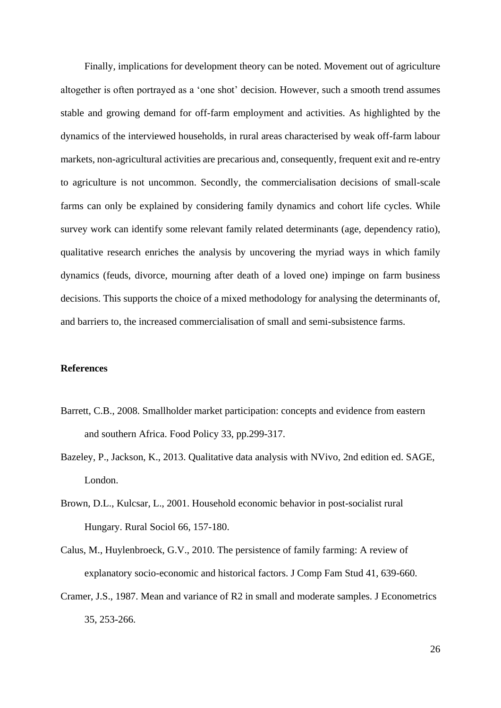<span id="page-26-7"></span><span id="page-26-2"></span><span id="page-26-1"></span>Finally, implications for development theory can be noted. Movement out of agriculture altogether is often portrayed as a 'one shot' decision. However, such a smooth trend assumes stable and growing demand for off-farm employment and activities. As highlighted by the dynamics of the interviewed households, in rural areas characterised by weak off-farm labour markets, non-agricultural activities are precarious and, consequently, frequent exit and re-entry to agriculture is not uncommon. Secondly, the commercialisation decisions of small-scale farms can only be explained by considering family dynamics and cohort life cycles. While survey work can identify some relevant family related determinants (age, dependency ratio), qualitative research enriches the analysis by uncovering the myriad ways in which family dynamics (feuds, divorce, mourning after death of a loved one) impinge on farm business decisions. This supports the choice of a mixed methodology for analysing the determinants of, and barriers to, the increased commercialisation of small and semi-subsistence farms.

#### <span id="page-26-11"></span><span id="page-26-10"></span><span id="page-26-9"></span><span id="page-26-5"></span><span id="page-26-0"></span>**References**

- <span id="page-26-4"></span>Barrett, C.B., 2008. Smallholder market participation: concepts and evidence from eastern and southern Africa. Food Policy 33, pp.299-317.
- <span id="page-26-6"></span>Bazeley, P., Jackson, K., 2013. Qualitative data analysis with NVivo, 2nd edition ed. SAGE, London.
- <span id="page-26-8"></span>Brown, D.L., Kulcsar, L., 2001. Household economic behavior in post-socialist rural Hungary. Rural Sociol 66, 157-180.
- Calus, M., Huylenbroeck, G.V., 2010. The persistence of family farming: A review of explanatory socio-economic and historical factors. J Comp Fam Stud 41, 639-660.
- <span id="page-26-3"></span>Cramer, J.S., 1987. Mean and variance of R2 in small and moderate samples. J Econometrics 35, 253-266.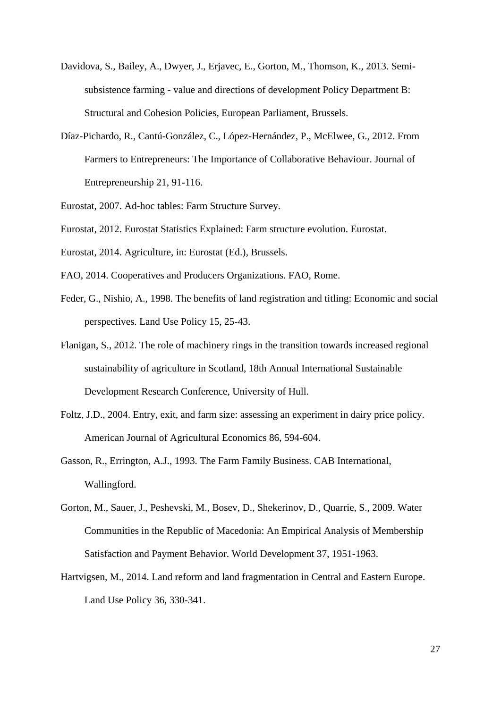- <span id="page-27-6"></span>Davidova, S., Bailey, A., Dwyer, J., Erjavec, E., Gorton, M., Thomson, K., 2013. Semisubsistence farming - value and directions of development Policy Department B: Structural and Cohesion Policies, European Parliament, Brussels.
- <span id="page-27-7"></span>Díaz-Pichardo, R., Cantú-González, C., López-Hernández, P., McElwee, G., 2012. From Farmers to Entrepreneurs: The Importance of Collaborative Behaviour. Journal of Entrepreneurship 21, 91-116.
- <span id="page-27-9"></span>Eurostat, 2007. Ad-hoc tables: Farm Structure Survey.
- <span id="page-27-10"></span>Eurostat, 2012. Eurostat Statistics Explained: Farm structure evolution. Eurostat.
- Eurostat, 2014. Agriculture, in: Eurostat (Ed.), Brussels.
- FAO, 2014. Cooperatives and Producers Organizations. FAO, Rome.
- <span id="page-27-8"></span>Feder, G., Nishio, A., 1998. The benefits of land registration and titling: Economic and social perspectives. Land Use Policy 15, 25-43.
- <span id="page-27-1"></span>Flanigan, S., 2012. The role of machinery rings in the transition towards increased regional sustainability of agriculture in Scotland, 18th Annual International Sustainable Development Research Conference, University of Hull.
- <span id="page-27-3"></span><span id="page-27-2"></span>Foltz, J.D., 2004. Entry, exit, and farm size: assessing an experiment in dairy price policy. American Journal of Agricultural Economics 86, 594-604.
- <span id="page-27-4"></span>Gasson, R., Errington, A.J., 1993. The Farm Family Business. CAB International, Wallingford.
- <span id="page-27-5"></span>Gorton, M., Sauer, J., Peshevski, M., Bosev, D., Shekerinov, D., Quarrie, S., 2009. Water Communities in the Republic of Macedonia: An Empirical Analysis of Membership Satisfaction and Payment Behavior. World Development 37, 1951-1963.
- <span id="page-27-0"></span>Hartvigsen, M., 2014. Land reform and land fragmentation in Central and Eastern Europe. Land Use Policy 36, 330-341.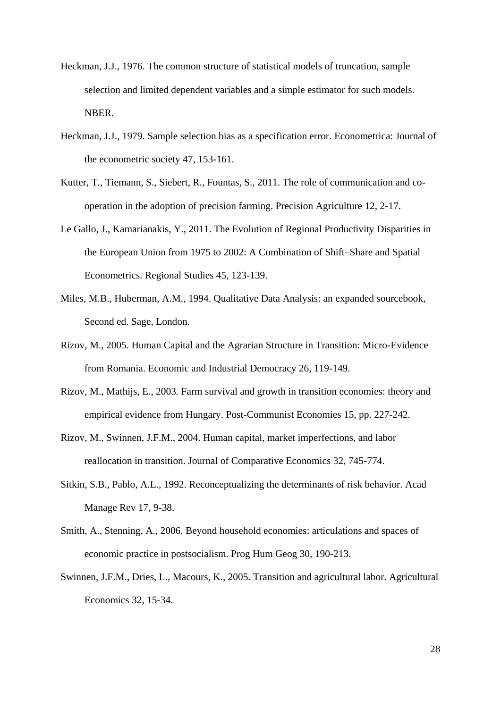- <span id="page-28-1"></span>Heckman, J.J., 1976. The common structure of statistical models of truncation, sample selection and limited dependent variables and a simple estimator for such models. NBER.
- <span id="page-28-3"></span>Heckman, J.J., 1979. Sample selection bias as a specification error. Econometrica: Journal of the econometric society 47, 153-161.
- <span id="page-28-2"></span>Kutter, T., Tiemann, S., Siebert, R., Fountas, S., 2011. The role of communication and cooperation in the adoption of precision farming. Precision Agriculture 12, 2-17.
- Le Gallo, J., Kamarianakis, Y., 2011. The Evolution of Regional Productivity Disparities in the European Union from 1975 to 2002: A Combination of Shift–Share and Spatial Econometrics. Regional Studies 45, 123-139.
- <span id="page-28-0"></span>Miles, M.B., Huberman, A.M., 1994. Qualitative Data Analysis: an expanded sourcebook, Second ed. Sage, London.
- Rizov, M., 2005. Human Capital and the Agrarian Structure in Transition: Micro-Evidence from Romania. Economic and Industrial Democracy 26, 119-149.
- Rizov, M., Mathijs, E., 2003. Farm survival and growth in transition economies: theory and empirical evidence from Hungary. Post-Communist Economies 15, pp. 227-242.
- Rizov, M., Swinnen, J.F.M., 2004. Human capital, market imperfections, and labor reallocation in transition. Journal of Comparative Economics 32, 745-774.
- Sitkin, S.B., Pablo, A.L., 1992. Reconceptualizing the determinants of risk behavior. Acad Manage Rev 17, 9-38.
- Smith, A., Stenning, A., 2006. Beyond household economies: articulations and spaces of economic practice in postsocialism. Prog Hum Geog 30, 190-213.
- Swinnen, J.F.M., Dries, L., Macours, K., 2005. Transition and agricultural labor. Agricultural Economics 32, 15-34.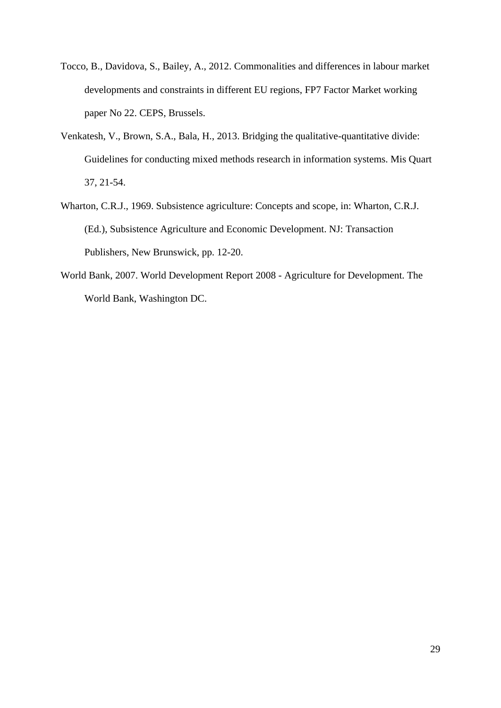- Tocco, B., Davidova, S., Bailey, A., 2012. Commonalities and differences in labour market developments and constraints in different EU regions, FP7 Factor Market working paper No 22. CEPS, Brussels.
- Venkatesh, V., Brown, S.A., Bala, H., 2013. Bridging the qualitative-quantitative divide: Guidelines for conducting mixed methods research in information systems. Mis Quart 37, 21-54.
- Wharton, C.R.J., 1969. Subsistence agriculture: Concepts and scope, in: Wharton, C.R.J. (Ed.), Subsistence Agriculture and Economic Development. NJ: Transaction Publishers, New Brunswick, pp. 12-20.
- World Bank, 2007. World Development Report 2008 Agriculture for Development. The World Bank, Washington DC.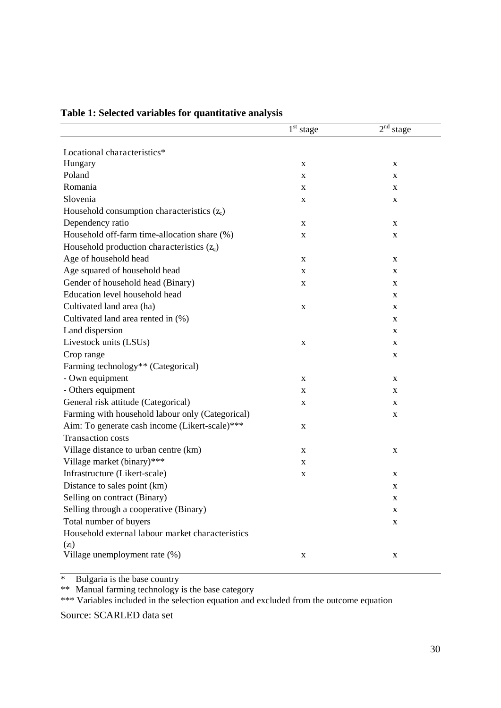|                                                  | $1st stage$ | 2 <sup>nd</sup> stage |
|--------------------------------------------------|-------------|-----------------------|
|                                                  |             |                       |
| Locational characteristics*                      |             |                       |
| Hungary                                          | $\mathbf X$ | $\mathbf X$           |
| Poland                                           | X           | X                     |
| Romania                                          | X           | X                     |
| Slovenia                                         | X           | $\mathbf X$           |
| Household consumption characteristics $(z_c)$    |             |                       |
| Dependency ratio                                 | X           | $\mathbf X$           |
| Household off-farm time-allocation share (%)     | $\mathbf X$ | $\mathbf X$           |
| Household production characteristics $(z_q)$     |             |                       |
| Age of household head                            | X           | $\mathbf X$           |
| Age squared of household head                    | X           | X                     |
| Gender of household head (Binary)                | X           | X                     |
| Education level household head                   |             | X                     |
| Cultivated land area (ha)                        | X           | X                     |
| Cultivated land area rented in (%)               |             | X                     |
| Land dispersion                                  |             | $\mathbf X$           |
| Livestock units (LSUs)                           | X           | X                     |
| Crop range                                       |             | X                     |
| Farming technology** (Categorical)               |             |                       |
| - Own equipment                                  | X           | X                     |
| - Others equipment                               | X           | X                     |
| General risk attitude (Categorical)              | X           | X                     |
| Farming with household labour only (Categorical) |             | $\mathbf X$           |
| Aim: To generate cash income (Likert-scale)***   | X           |                       |
| <b>Transaction costs</b>                         |             |                       |
| Village distance to urban centre (km)            | X           | X                     |
| Village market (binary)***                       | X           |                       |
| Infrastructure (Likert-scale)                    | X           | $\mathbf X$           |
| Distance to sales point (km)                     |             | $\mathbf X$           |
| Selling on contract (Binary)                     |             | X                     |
| Selling through a cooperative (Binary)           |             | X                     |
| Total number of buyers                           |             | $\mathbf X$           |
| Household external labour market characteristics |             |                       |
| (z <sub>l</sub> )                                |             |                       |
| Village unemployment rate (%)                    | $\mathbf X$ | $\mathbf X$           |

# **Table 1: Selected variables for quantitative analysis**

\* Bulgaria is the base country

\*\* Manual farming technology is the base category

\*\*\* Variables included in the selection equation and excluded from the outcome equation

Source: SCARLED data set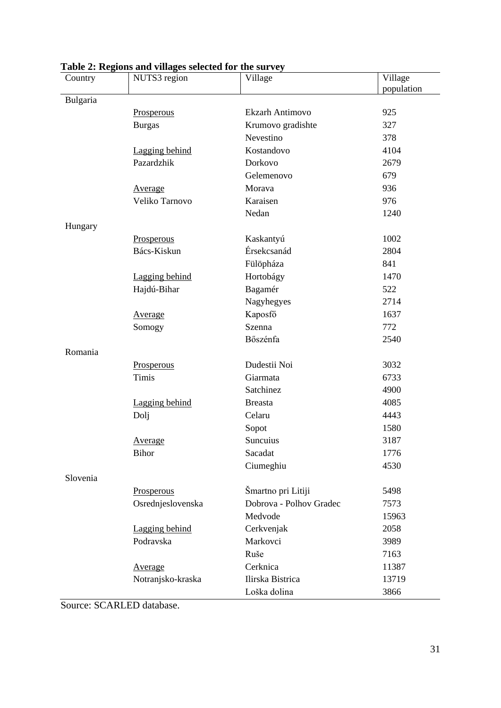| Country  | NUTS3 region      | Village                 | Village    |
|----------|-------------------|-------------------------|------------|
|          |                   |                         | population |
| Bulgaria |                   |                         |            |
|          | Prosperous        | Ekzarh Antimovo         | 925        |
|          | <b>Burgas</b>     | Krumovo gradishte       | 327        |
|          |                   | Nevestino               | 378        |
|          | Lagging behind    | Kostandovo              | 4104       |
|          | Pazardzhik        | Dorkovo                 | 2679       |
|          |                   | Gelemenovo              | 679        |
|          | Average           | Morava                  | 936        |
|          | Veliko Tarnovo    | Karaisen                | 976        |
|          |                   | Nedan                   | 1240       |
| Hungary  |                   |                         |            |
|          | Prosperous        | Kaskantyú               | 1002       |
|          | Bács-Kiskun       | Érsekcsanád             | 2804       |
|          |                   | Fülöpháza               | 841        |
|          | Lagging behind    | Hortobágy               | 1470       |
|          | Hajdú-Bihar       | Bagamér                 | 522        |
|          |                   | Nagyhegyes              | 2714       |
|          | <b>Average</b>    | Kaposfő                 | 1637       |
|          | Somogy            | Szenna                  | 772        |
|          |                   | Bőszénfa                | 2540       |
| Romania  |                   |                         |            |
|          | Prosperous        | Dudestii Noi            | 3032       |
|          | <b>Timis</b>      | Giarmata                | 6733       |
|          |                   | Satchinez               | 4900       |
|          | Lagging behind    | <b>Breasta</b>          | 4085       |
|          | Dolj              | Celaru                  | 4443       |
|          |                   | Sopot                   | 1580       |
|          | <b>Average</b>    | Suncuius                | 3187       |
|          | <b>Bihor</b>      | Sacadat                 | 1776       |
|          |                   | Ciumeghiu               | 4530       |
| Slovenia |                   |                         |            |
|          | Prosperous        | Šmartno pri Litiji      | 5498       |
|          | Osrednjeslovenska | Dobrova - Polhov Gradec | 7573       |
|          |                   | Medvode                 | 15963      |
|          | Lagging behind    | Cerkvenjak              | 2058       |
|          | Podravska         | Markovci                | 3989       |
|          |                   | Ruše                    | 7163       |
|          | Average           | Cerknica                | 11387      |
|          | Notranjsko-kraska | Ilirska Bistrica        | 13719      |
|          |                   | Loška dolina            | 3866       |

# **Table 2: Regions and villages selected for the survey**

Source: SCARLED database.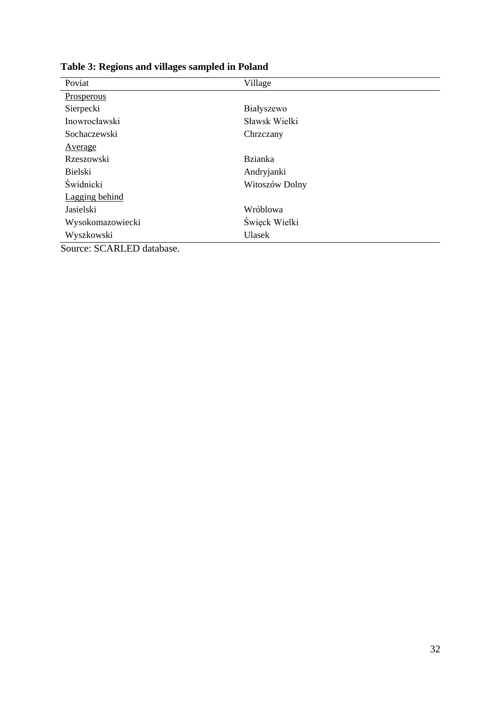| Poviat                                                                   | Village        |
|--------------------------------------------------------------------------|----------------|
| Prosperous                                                               |                |
| Sierpecki                                                                | Białyszewo     |
| Inowrocławski                                                            | Sławsk Wielki  |
| Sochaczewski                                                             | Chrzczany      |
| Average                                                                  |                |
| Rzeszowski                                                               | <b>Bzianka</b> |
| Bielski                                                                  | Andryjanki     |
| Świdnicki                                                                | Witoszów Dolny |
| Lagging behind                                                           |                |
| Jasielski                                                                | Wróblowa       |
| Wysokomazowiecki                                                         | Święck Wielki  |
| Wyszkowski                                                               | <b>Ulasek</b>  |
| $\sim$ $\sim$<br>$\sim$ $\sim$ $\sim$ $\sim$ $\sim$ $\sim$ $\sim$ $\sim$ |                |

**Table 3: Regions and villages sampled in Poland** 

Source: SCARLED database.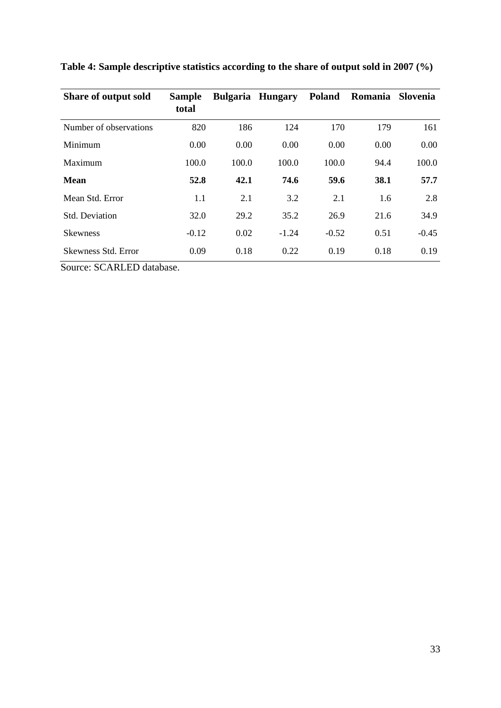| Share of output sold   | <b>Sample</b><br>total |       | <b>Bulgaria Hungary</b> | <b>Poland</b> | Romania | Slovenia |
|------------------------|------------------------|-------|-------------------------|---------------|---------|----------|
| Number of observations | 820                    | 186   | 124                     | 170           | 179     | 161      |
| Minimum                | 0.00                   | 0.00  | 0.00                    | 0.00          | 0.00    | 0.00     |
| Maximum                | 100.0                  | 100.0 | 100.0                   | 100.0         | 94.4    | 100.0    |
| <b>Mean</b>            | 52.8                   | 42.1  | 74.6                    | 59.6          | 38.1    | 57.7     |
| Mean Std. Error        | 1.1                    | 2.1   | 3.2                     | 2.1           | 1.6     | 2.8      |
| <b>Std. Deviation</b>  | 32.0                   | 29.2  | 35.2                    | 26.9          | 21.6    | 34.9     |
| <b>Skewness</b>        | $-0.12$                | 0.02  | $-1.24$                 | $-0.52$       | 0.51    | $-0.45$  |
| Skewness Std. Error    | 0.09                   | 0.18  | 0.22                    | 0.19          | 0.18    | 0.19     |

**Table 4: Sample descriptive statistics according to the share of output sold in 2007 (%)** 

Source: SCARLED database.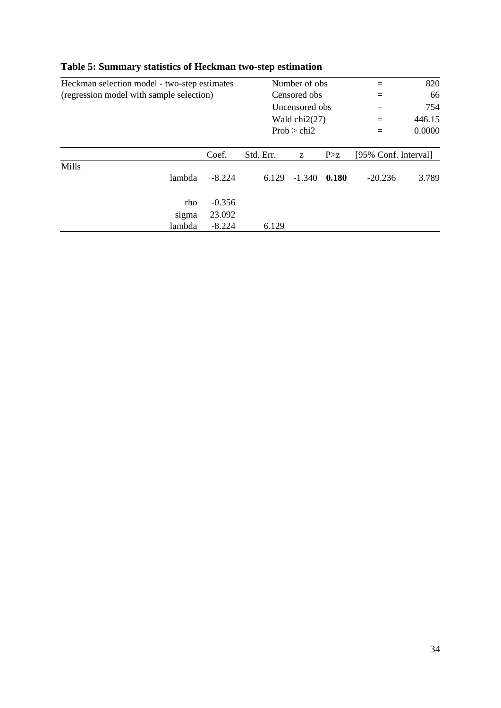| Heckman selection model - two-step estimates |          | Number of obs. |                 | 820   |                      |        |
|----------------------------------------------|----------|----------------|-----------------|-------|----------------------|--------|
| (regression model with sample selection)     |          | Censored obs   | $=$             | 66    |                      |        |
|                                              |          |                | Uncensored obs  |       |                      | 754    |
|                                              |          |                | Wald $chi2(27)$ |       | $=$                  | 446.15 |
|                                              |          |                | Prob > chi2     |       | $=$                  | 0.0000 |
|                                              |          |                |                 |       |                      |        |
|                                              | Coef.    | Std. Err.      | Z               | P > z | [95% Conf. Interval] |        |
| Mills                                        |          |                |                 |       |                      |        |
| lambda                                       | $-8.224$ | 6.129          | $-1.340$        | 0.180 | $-20.236$            | 3.789  |
| rho                                          | $-0.356$ |                |                 |       |                      |        |
| sigma                                        | 23.092   |                |                 |       |                      |        |
| lambda                                       | $-8.224$ | 6.129          |                 |       |                      |        |

# **Table 5: Summary statistics of Heckman two-step estimation**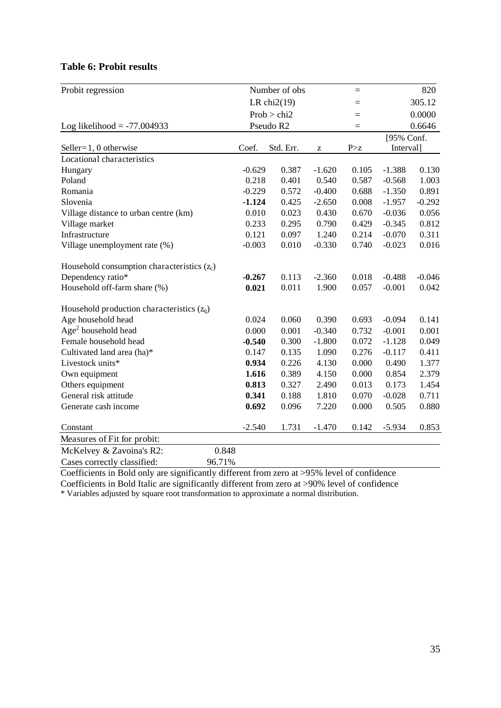## **Table 6: Probit results**

| Probit regression                             |             | Number of obs  |          | $=$   |            | 820      |  |
|-----------------------------------------------|-------------|----------------|----------|-------|------------|----------|--|
|                                               |             | LR chi $2(19)$ |          | $=$   |            | 305.12   |  |
|                                               | Prob > chi2 |                |          | $=$   |            | 0.0000   |  |
| Log likelihood = $-77.004933$                 |             | Pseudo R2      |          | $=$   |            | 0.6646   |  |
|                                               |             |                |          |       | [95% Conf. |          |  |
| Seller= $1, 0$ otherwise                      | Coef.       | Std. Err.      | z        | P > z | Interval]  |          |  |
| Locational characteristics                    |             |                |          |       |            |          |  |
| Hungary                                       | $-0.629$    | 0.387          | $-1.620$ | 0.105 | $-1.388$   | 0.130    |  |
| Poland                                        | 0.218       | 0.401          | 0.540    | 0.587 | $-0.568$   | 1.003    |  |
| Romania                                       | $-0.229$    | 0.572          | $-0.400$ | 0.688 | $-1.350$   | 0.891    |  |
| Slovenia                                      | $-1.124$    | 0.425          | $-2.650$ | 0.008 | $-1.957$   | $-0.292$ |  |
| Village distance to urban centre (km)         | 0.010       | 0.023          | 0.430    | 0.670 | $-0.036$   | 0.056    |  |
| Village market                                | 0.233       | 0.295          | 0.790    | 0.429 | $-0.345$   | 0.812    |  |
| Infrastructure                                | 0.121       | 0.097          | 1.240    | 0.214 | $-0.070$   | 0.311    |  |
| Village unemployment rate (%)                 | $-0.003$    | 0.010          | $-0.330$ | 0.740 | $-0.023$   | 0.016    |  |
| Household consumption characteristics $(z_c)$ |             |                |          |       |            |          |  |
| Dependency ratio*                             | $-0.267$    | 0.113          | $-2.360$ | 0.018 | $-0.488$   | $-0.046$ |  |
| Household off-farm share (%)                  | 0.021       | 0.011          | 1.900    | 0.057 | $-0.001$   | 0.042    |  |
| Household production characteristics $(z_q)$  |             |                |          |       |            |          |  |
| Age household head                            | 0.024       | 0.060          | 0.390    | 0.693 | $-0.094$   | 0.141    |  |
| $Age2$ household head                         | 0.000       | 0.001          | $-0.340$ | 0.732 | $-0.001$   | 0.001    |  |
| Female household head                         | $-0.540$    | 0.300          | $-1.800$ | 0.072 | $-1.128$   | 0.049    |  |
| Cultivated land area (ha)*                    | 0.147       | 0.135          | 1.090    | 0.276 | $-0.117$   | 0.411    |  |
| Livestock units*                              | 0.934       | 0.226          | 4.130    | 0.000 | 0.490      | 1.377    |  |
| Own equipment                                 | 1.616       | 0.389          | 4.150    | 0.000 | 0.854      | 2.379    |  |
| Others equipment                              | 0.813       | 0.327          | 2.490    | 0.013 | 0.173      | 1.454    |  |
| General risk attitude                         | 0.341       | 0.188          | 1.810    | 0.070 | $-0.028$   | 0.711    |  |
| Generate cash income                          | 0.692       | 0.096          | 7.220    | 0.000 | 0.505      | 0.880    |  |
| Constant                                      | $-2.540$    | 1.731          | $-1.470$ | 0.142 | $-5.934$   | 0.853    |  |
| Measures of Fit for probit:                   |             |                |          |       |            |          |  |
| McKelvey & Zavoina's R2:<br>0.848             |             |                |          |       |            |          |  |
| Cases correctly classified:<br>96.71%         |             |                |          |       |            |          |  |
|                                               |             |                |          |       |            |          |  |

Coefficients in Bold only are significantly different from zero at >95% level of confidence Coefficients in Bold Italic are significantly different from zero at >90% level of confidence

\* Variables adjusted by square root transformation to approximate a normal distribution.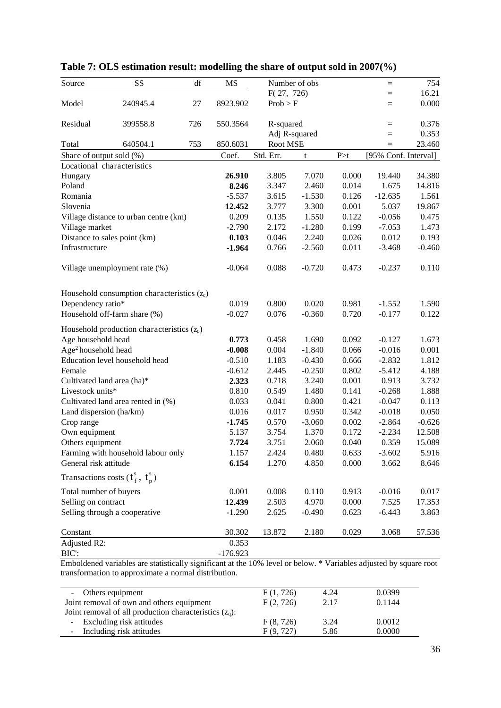| Source                          | SS                                            | df  | MS         |            | Number of obs |       | $=$                  | 754      |
|---------------------------------|-----------------------------------------------|-----|------------|------------|---------------|-------|----------------------|----------|
|                                 |                                               |     |            | F(27, 726) |               |       | $=$                  | 16.21    |
| Model                           | 240945.4                                      | 27  | 8923.902   | Prob > F   |               |       | $=$                  | 0.000    |
| Residual                        | 399558.8                                      | 726 | 550.3564   | R-squared  |               |       | $=$                  | 0.376    |
|                                 |                                               |     |            |            | Adj R-squared |       | $=$                  | 0.353    |
| Total                           | 640504.1                                      | 753 | 850.6031   | Root MSE   |               |       | $=$                  | 23.460   |
| Share of output sold (%)        |                                               |     | Coef.      | Std. Err.  | t             | P > t | [95% Conf. Interval] |          |
|                                 | Locational characteristics                    |     |            |            |               |       |                      |          |
| Hungary                         |                                               |     | 26.910     | 3.805      | 7.070         | 0.000 | 19.440               | 34.380   |
| Poland                          |                                               |     | 8.246      | 3.347      | 2.460         | 0.014 | 1.675                | 14.816   |
| Romania                         |                                               |     | $-5.537$   | 3.615      | $-1.530$      | 0.126 | $-12.635$            | 1.561    |
| Slovenia                        |                                               |     | 12.452     | 3.777      | 3.300         | 0.001 | 5.037                | 19.867   |
|                                 | Village distance to urban centre (km)         |     | 0.209      | 0.135      | 1.550         | 0.122 | $-0.056$             | 0.475    |
| Village market                  |                                               |     | $-2.790$   | 2.172      | $-1.280$      | 0.199 | $-7.053$             | 1.473    |
|                                 | Distance to sales point (km)                  |     | 0.103      | 0.046      | 2.240         | 0.026 | 0.012                | 0.193    |
| Infrastructure                  |                                               |     | $-1.964$   | 0.766      | $-2.560$      | 0.011 | $-3.468$             | $-0.460$ |
|                                 | Village unemployment rate (%)                 |     | $-0.064$   | 0.088      | $-0.720$      | 0.473 | $-0.237$             | 0.110    |
|                                 | Household consumption characteristics $(z_c)$ |     |            |            |               |       |                      |          |
| Dependency ratio*               |                                               |     | 0.019      | 0.800      | 0.020         | 0.981 | $-1.552$             | 1.590    |
|                                 | Household off-farm share (%)                  |     | $-0.027$   | 0.076      | $-0.360$      | 0.720 | $-0.177$             | 0.122    |
|                                 | Household production characteristics $(z_q)$  |     |            |            |               |       |                      |          |
| Age household head              |                                               |     | 0.773      | 0.458      | 1.690         | 0.092 | $-0.127$             | 1.673    |
| Age <sup>2</sup> household head |                                               |     | $-0.008$   | 0.004      | $-1.840$      | 0.066 | $-0.016$             | 0.001    |
|                                 | Education level household head                |     | $-0.510$   | 1.183      | $-0.430$      | 0.666 | $-2.832$             | 1.812    |
| Female                          |                                               |     | $-0.612$   | 2.445      | $-0.250$      | 0.802 | $-5.412$             | 4.188    |
| Cultivated land area (ha)*      |                                               |     | 2.323      | 0.718      | 3.240         | 0.001 | 0.913                | 3.732    |
| Livestock units*                |                                               |     | 0.810      | 0.549      | 1.480         | 0.141 | $-0.268$             | 1.888    |
|                                 | Cultivated land area rented in (%)            |     | 0.033      | 0.041      | 0.800         | 0.421 | $-0.047$             | 0.113    |
| Land dispersion (ha/km)         |                                               |     | 0.016      | 0.017      | 0.950         | 0.342 | $-0.018$             | 0.050    |
| Crop range                      |                                               |     | $-1.745$   | 0.570      | $-3.060$      | 0.002 | $-2.864$             | $-0.626$ |
| Own equipment                   |                                               |     | 5.137      | 3.754      | 1.370         | 0.172 | $-2.234$             | 12.508   |
| Others equipment                |                                               |     | 7.724      | 3.751      | 2.060         | 0.040 | 0.359                | 15.089   |
|                                 | Farming with household labour only            |     | 1.157      | 2.424      | 0.480         | 0.633 | $-3.602$             | 5.916    |
| General risk attitude           |                                               |     | 6.154      | 1.270      | 4.850         | 0.000 | 3.662                | 8.646    |
|                                 | Transactions costs $(t_f^s, t_n^s)$           |     |            |            |               |       |                      |          |
| Total number of buyers          |                                               |     | 0.001      | 0.008      | 0.110         | 0.913 | $-0.016$             | 0.017    |
| Selling on contract             |                                               |     | 12.439     | 2.503      | 4.970         | 0.000 | 7.525                | 17.353   |
|                                 | Selling through a cooperative                 |     | $-1.290$   | 2.625      | $-0.490$      | 0.623 | $-6.443$             | 3.863    |
| Constant                        |                                               |     | 30.302     | 13.872     | 2.180         | 0.029 | 3.068                | 57.536   |
| Adjusted R2:                    |                                               |     | 0.353      |            |               |       |                      |          |
| BIC:                            |                                               |     | $-176.923$ |            |               |       |                      |          |

# **Table 7: OLS estimation result: modelling the share of output sold in 2007(%)**

Emboldened variables are statistically significant at the 10% level or below. \* Variables adjusted by square root transformation to approximate a normal distribution.

| - Others equipment                                        | F(1, 726) | 4.24 | 0.0399 |
|-----------------------------------------------------------|-----------|------|--------|
| Joint removal of own and others equipment                 | F(2, 726) | 2.17 | 0.1144 |
| Joint removal of all production characteristics $(z_q)$ : |           |      |        |
| - Excluding risk attitudes                                | F(8, 726) | 3.24 | 0.0012 |
| - Including risk attitudes                                | F(9, 727) | 5.86 | 0.0000 |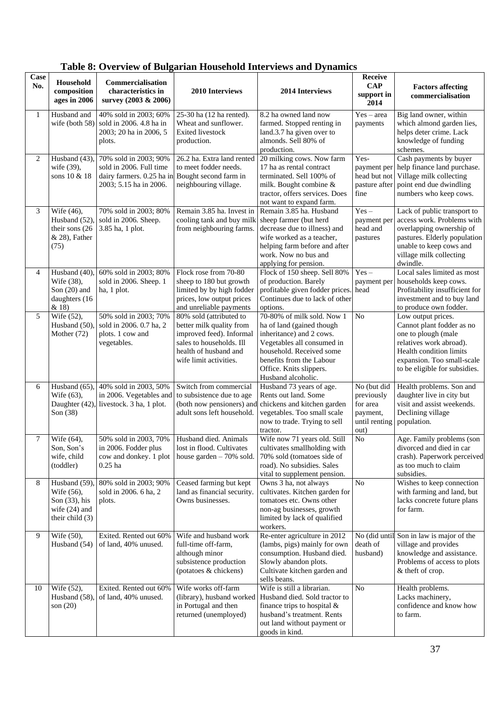| Case<br>No.    | Household<br>composition<br>ages in 2006                                               | Commercialisation<br>characteristics in<br>survey (2003 & 2006)                                         | 2010 Interviews                                                                                                                                                | 2014 Interviews                                                                                                                                                                                                            | Receive<br><b>CAP</b><br>support in<br>2014                                | <b>Factors affecting</b><br>commercialisation                                                                                                                                               |
|----------------|----------------------------------------------------------------------------------------|---------------------------------------------------------------------------------------------------------|----------------------------------------------------------------------------------------------------------------------------------------------------------------|----------------------------------------------------------------------------------------------------------------------------------------------------------------------------------------------------------------------------|----------------------------------------------------------------------------|---------------------------------------------------------------------------------------------------------------------------------------------------------------------------------------------|
| 1              | Husband and<br>wife (both 58)                                                          | 40% sold in 2003; 60%<br>sold in 2006. 4.8 ha in<br>2003; 20 ha in 2006, 5<br>plots.                    | 25-30 ha (12 ha rented).<br>Wheat and sunflower.<br><b>Exited livestock</b><br>production.                                                                     | 8.2 ha owned land now<br>farmed. Stopped renting in<br>land.3.7 ha given over to<br>almonds. Sell 80% of<br>production.                                                                                                    | $Yes - area$<br>payments                                                   |                                                                                                                                                                                             |
| 2              | Husband (43)<br>wife (39),<br>sons 10 & 18                                             | 70% sold in 2003; 90%<br>sold in 2006. Full time<br>dairy farmers. 0.25 ha in<br>2003; 5.15 ha in 2006. | 26.2 ha. Extra land rented<br>to meet fodder needs.<br>Bought second farm in<br>neighbouring village.                                                          | 20 milking cows. Now farm<br>17 ha as rental contract<br>terminated. Sell 100% of<br>milk. Bought combine &<br>tractor, offers services. Does<br>not want to expand farm.                                                  | Yes-<br>payment per<br>head but not<br>pasture after<br>fine               | Cash payments by buyer<br>help finance land purchase.<br>Village milk collecting<br>point end due dwindling<br>numbers who keep cows.                                                       |
| 3              | Wife (46),<br>Husband (52)<br>their sons (26<br>$& 28$ ), Father<br>(75)               | 70% sold in 2003; 80%<br>sold in 2006. Sheep.<br>3.85 ha, 1 plot.                                       | Remain 3.85 ha. Invest in<br>cooling tank and buy milk<br>from neighbouring farms.                                                                             | Remain 3.85 ha. Husband<br>sheep farmer (but herd<br>decrease due to illness) and<br>wife worked as a teacher,<br>helping farm before and after<br>work. Now no bus and<br>applying for pension.                           | $\overline{Yes}$ –<br>payment per<br>head and<br>pastures                  | Lack of public transport to<br>access work. Problems with<br>overlapping ownership of<br>pastures. Elderly population<br>unable to keep cows and<br>village milk collecting<br>dwindle.     |
| $\overline{4}$ | Husband $(40)$<br>Wife (38),<br>Son $(20)$ and<br>daughters (16<br>& 18)               | 60% sold in 2003; 80%<br>sold in 2006. Sheep. 1<br>ha, 1 plot.                                          | Flock rose from 70-80<br>sheep to 180 but growth<br>limited by by high fodder<br>prices, low output prices<br>and unreliable payments                          | Flock of 150 sheep. Sell 80%<br>of production. Barely<br>profitable given fodder prices.<br>Continues due to lack of other<br>options.                                                                                     | $Yes -$<br>payment per<br>head                                             | Local sales limited as most<br>households keep cows.<br>Profitability insufficient for<br>investment and to buy land<br>to produce own fodder.                                              |
| 5              | Wife (52),<br>Husband (50)<br>Mother $(72)$                                            | 50% sold in 2003; 70%<br>sold in 2006. 0.7 ha, 2<br>plots. 1 cow and<br>vegetables.                     | 80% sold (attributed to<br>better milk quality from<br>improved feed). Informal<br>sales to households. Ill<br>health of husband and<br>wife limit activities. | 70-80% of milk sold. Now 1<br>ha of land (gained though<br>inheritance) and 2 cows.<br>Vegetables all consumed in<br>household. Received some<br>benefits from the Labour<br>Office. Knits slippers.<br>Husband alcoholic. | No                                                                         | Low output prices.<br>Cannot plant fodder as no<br>one to plough (male<br>relatives work abroad).<br>Health condition limits<br>expansion. Too small-scale<br>to be eligible for subsidies. |
| 6              | Husband (65),<br>Wife (63),<br>Daughter (42)<br>Son (38)                               | 40% sold in 2003, 50%<br>in 2006. Vegetables and<br>livestock. 3 ha, 1 plot.                            | Switch from commercial<br>to subsistence due to age<br>(both now pensioners) and<br>adult sons left household.                                                 | Husband 73 years of age.<br>Rents out land. Some<br>chickens and kitchen garden<br>vegetables. Too small scale<br>now to trade. Trying to sell<br>tractor.                                                                 | No (but did<br>previously<br>for area<br>payment,<br>until renting<br>out) | Health problems. Son and<br>daughter live in city but<br>visit and assist weekends.<br>Declining village<br>population.                                                                     |
| 7              | Wife (64),<br>Son, Son's<br>wife, child<br>(toddler)                                   | 50% sold in 2003, 70%<br>in 2006. Fodder plus<br>cow and donkey. 1 plot<br>$0.25$ ha                    | Husband died. Animals<br>lost in flood. Cultivates<br>house garden - 70% sold.                                                                                 | Wife now 71 years old. Still<br>cultivates smallholding with<br>70% sold (tomatoes side of<br>road). No subsidies. Sales<br>vital to supplement pension.                                                                   | N <sub>o</sub>                                                             | Age. Family problems (son<br>divorced and died in car<br>crash). Paperwork perceived<br>as too much to claim<br>subsidies.                                                                  |
| 8              | Husband (59)<br>Wife (56),<br>Son $(33)$ , his<br>wife $(24)$ and<br>their child $(3)$ | 80% sold in 2003; 90%<br>sold in 2006. 6 ha, 2<br>plots.                                                | Ceased farming but kept<br>land as financial security.<br>Owns businesses.                                                                                     | Owns 3 ha, not always<br>cultivates. Kitchen garden for<br>tomatoes etc. Owns other<br>non-ag businesses, growth<br>limited by lack of qualified<br>workers.                                                               | N <sub>o</sub>                                                             | Wishes to keep connection<br>with farming and land, but<br>lacks concrete future plans<br>for farm.                                                                                         |
| 9              | Wife (50),<br>Husband (54)                                                             | Exited. Rented out 60%<br>of land, 40% unused.                                                          | Wife and husband work<br>full-time off-farm,<br>although minor<br>subsistence production<br>(potatoes & chickens)                                              | Re-enter agriculture in 2012<br>(lambs, pigs) mainly for own<br>consumption. Husband died.<br>Slowly abandon plots.<br>Cultivate kitchen garden and<br>sells beans.                                                        | death of<br>husband)                                                       | No (did until Son in law is major of the<br>village and provides<br>knowledge and assistance.<br>Problems of access to plots<br>& theft of crop.                                            |
| 10             | Wife (52),<br>Husband (58)<br>son $(20)$                                               | Exited. Rented out 60%<br>of land, 40% unused.                                                          | Wife works off-farm<br>(library), husband worked<br>in Portugal and then<br>returned (unemployed)                                                              | Wife is still a librarian.<br>Husband died. Sold tractor to<br>finance trips to hospital &<br>husband's treatment. Rents<br>out land without payment or<br>goods in kind.                                                  | N <sub>o</sub>                                                             | Health problems.<br>Lacks machinery,<br>confidence and know how<br>to farm.                                                                                                                 |

# **Table 8: Overview of Bulgarian Household Interviews and Dynamics**